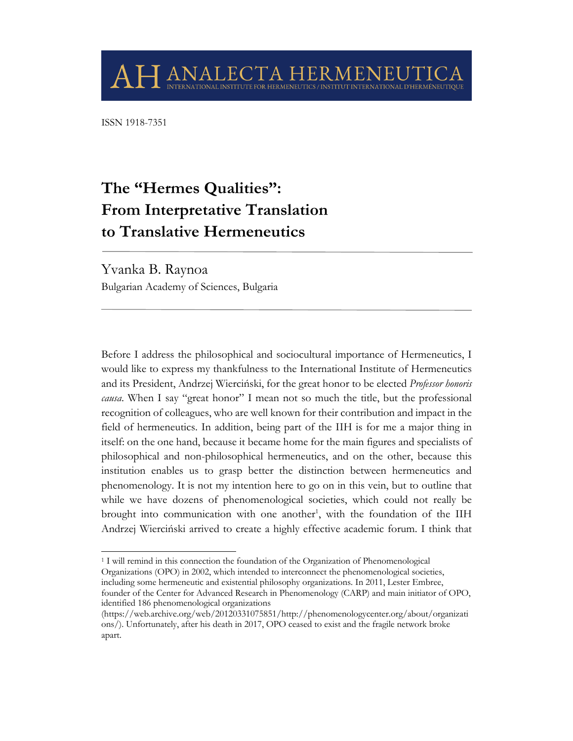ISSN 1918-7351

# **The "Hermes Qualities": From Interpretative Translation to Translative Hermeneutics**

ANALECTA HERM

FN

Yvanka B. Raynoa Bulgarian Academy of Sciences, Bulgaria

Before I address the philosophical and sociocultural importance of Hermeneutics, I would like to express my thankfulness to the International Institute of Hermeneutics and its President, Andrzej Wierciński, for the great honor to be elected *Professor honoris causa*. When I say "great honor" I mean not so much the title, but the professional recognition of colleagues, who are well known for their contribution and impact in the field of hermeneutics. In addition, being part of the IIH is for me a major thing in itself: on the one hand, because it became home for the main figures and specialists of philosophical and non-philosophical hermeneutics, and on the other, because this institution enables us to grasp better the distinction between hermeneutics and phenomenology. It is not my intention here to go on in this vein, but to outline that while we have dozens of phenomenological societies, which could not really be brought into communication with one another<sup>1</sup>, with the foundation of the IIH Andrzej Wierciński arrived to create a highly effective academic forum. I think that

<sup>1</sup> I will remind in this connection the foundation of the Organization of Phenomenological Organizations (OPO) in 2002, which intended to interconnect the phenomenological societies, including some hermeneutic and existential philosophy organizations. In 2011, Lester Embree, founder of the Center for Advanced Research in Phenomenology (CARP) and main initiator of OPO, identified 186 phenomenological organizations

<sup>(</sup>https://web.archive.org/web/20120331075851/http://phenomenologycenter.org/about/organizati ons/). Unfortunately, after his death in 2017, OPO ceased to exist and the fragile network broke apart.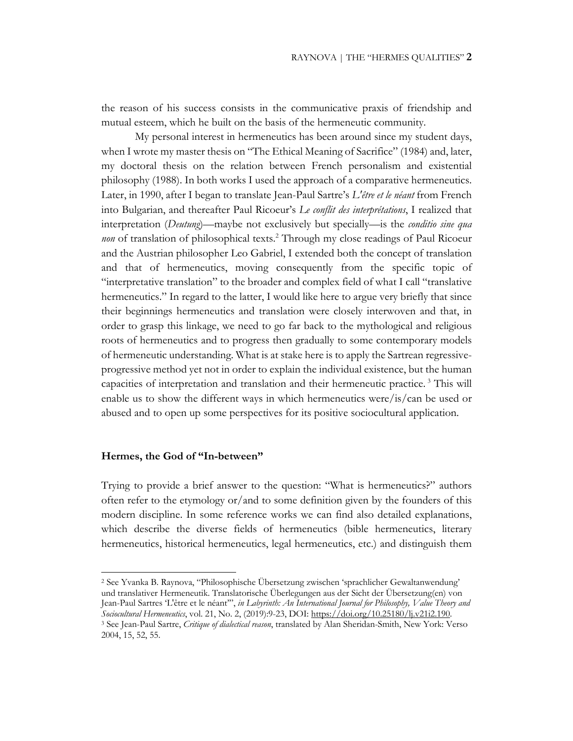the reason of his success consists in the communicative praxis of friendship and mutual esteem, which he built on the basis of the hermeneutic community.

My personal interest in hermeneutics has been around since my student days, when I wrote my master thesis on "The Ethical Meaning of Sacrifice" (1984) and, later, my doctoral thesis on the relation between French personalism and existential philosophy (1988). In both works I used the approach of a comparative hermeneutics. Later, in 1990, after I began to translate Jean-Paul Sartre's *L'être et le néant* from French into Bulgarian, and thereafter Paul Ricoeur's *Le conflit des interprétations*, I realized that interpretation (*Deutung*)—maybe not exclusively but specially—is the *conditio sine qua non* of translation of philosophical texts.<sup>2</sup> Through my close readings of Paul Ricoeur and the Austrian philosopher Leo Gabriel, I extended both the concept of translation and that of hermeneutics, moving consequently from the specific topic of "interpretative translation" to the broader and complex field of what I call "translative hermeneutics." In regard to the latter, I would like here to argue very briefly that since their beginnings hermeneutics and translation were closely interwoven and that, in order to grasp this linkage, we need to go far back to the mythological and religious roots of hermeneutics and to progress then gradually to some contemporary models of hermeneutic understanding. What is at stake here is to apply the Sartrean regressiveprogressive method yet not in order to explain the individual existence, but the human capacities of interpretation and translation and their hermeneutic practice. <sup>3</sup> This will enable us to show the different ways in which hermeneutics were/is/can be used or abused and to open up some perspectives for its positive sociocultural application.

#### **Hermes, the God of "In-between"**

Trying to provide a brief answer to the question: "What is hermeneutics?" authors often refer to the etymology or/and to some definition given by the founders of this modern discipline. In some reference works we can find also detailed explanations, which describe the diverse fields of hermeneutics (bible hermeneutics, literary hermeneutics, historical hermeneutics, legal hermeneutics, etc.) and distinguish them

<sup>2</sup> See Yvanka B. Raynova, "Philosophische Übersetzung zwischen 'sprachlicher Gewaltanwendung' und translativer Hermeneutik. Translatorische Überlegungen aus der Sicht der Übersetzung(en) von Jean-Paul Sartres 'L'être et le néant'", *in Labyrinth: An International Journal for Philosophy, Value Theory and Sociocultural Hermeneutics*, vol. 21, No. 2, (2019):9-23, DOI: https://doi.org/10.25180/lj.v21i2.190. 3 See Jean-Paul Sartre, *Critique of dialectical reason*, translated by Alan Sheridan-Smith, New York: Verso 2004, 15, 52, 55.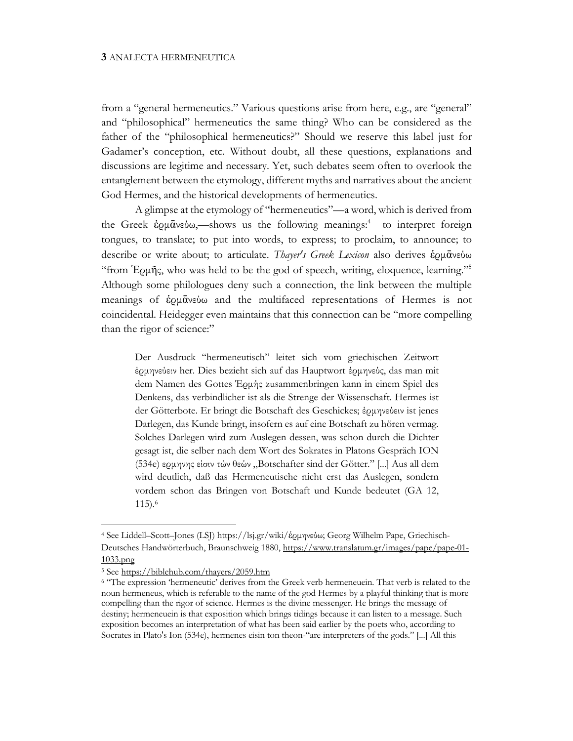from a "general hermeneutics." Various questions arise from here, e.g., are "general" and "philosophical" hermeneutics the same thing? Who can be considered as the father of the "philosophical hermeneutics?" Should we reserve this label just for Gadamer's conception, etc. Without doubt, all these questions, explanations and discussions are legitime and necessary. Yet, such debates seem often to overlook the entanglement between the etymology, different myths and narratives about the ancient God Hermes, and the historical developments of hermeneutics.

A glimpse at the etymology of "hermeneutics"—a word, which is derived from the Greek ερμανεύω,—shows us the following meanings:<sup>4</sup> to interpret foreign tongues, to translate; to put into words, to express; to proclaim, to announce; to describe or write about; to articulate. *Thayer's Greek Lexicon* also derives ἑρμᾱνεύω "from Ἑρμῆς, who was held to be the god of speech, writing, eloquence, learning."5 Although some philologues deny such a connection, the link between the multiple meanings of ἑρμᾱνεύω and the multifaced representations of Hermes is not coincidental. Heidegger even maintains that this connection can be "more compelling than the rigor of science:"

Der Ausdruck "hermeneutisch" leitet sich vom griechischen Zeitwort έρμηνεύειν her. Dies bezieht sich auf das Hauptwort έρμηνεύς, das man mit dem Namen des Gottes Έρμής zusammenbringen kann in einem Spiel des Denkens, das verbindlicher ist als die Strenge der Wissenschaft. Hermes ist der Götterbote. Er bringt die Botschaft des Geschickes; έρμηνεύειν ist jenes Darlegen, das Kunde bringt, insofern es auf eine Botschaft zu hören vermag. Solches Darlegen wird zum Auslegen dessen, was schon durch die Dichter gesagt ist, die selber nach dem Wort des Sokrates in Platons Gespräch ION (534e) ερμηνης είσιν τών θεών "Botschafter sind der Götter." [...] Aus all dem wird deutlich, daß das Hermeneutische nicht erst das Auslegen, sondern vordem schon das Bringen von Botschaft und Kunde bedeutet (GA 12, 115).6

<sup>4</sup> See Liddell–Scott–Jones (LSJ) https://lsj.gr/wiki/ἑρμηνεύω; Georg Wilhelm Pape, Griechisch-Deutsches Handwörterbuch, Braunschweig 1880, https://www.translatum.gr/images/pape/pape-01- 1033.png

<sup>5</sup> See https://biblehub.com/thayers/2059.htm

<sup>6</sup> "The expression 'hermeneutic' derives from the Greek verb hermeneuein. That verb is related to the noun hermeneus, which is referable to the name of the god Hermes by a playful thinking that is more compelling than the rigor of science. Hermes is the divine messenger. He brings the message of destiny; hermeneuein is that exposition which brings tidings because it can listen to a message. Such exposition becomes an interpretation of what has been said earlier by the poets who, according to Socrates in Plato's Ion (534e), hermenes eisin ton theon-"are interpreters of the gods." [...] All this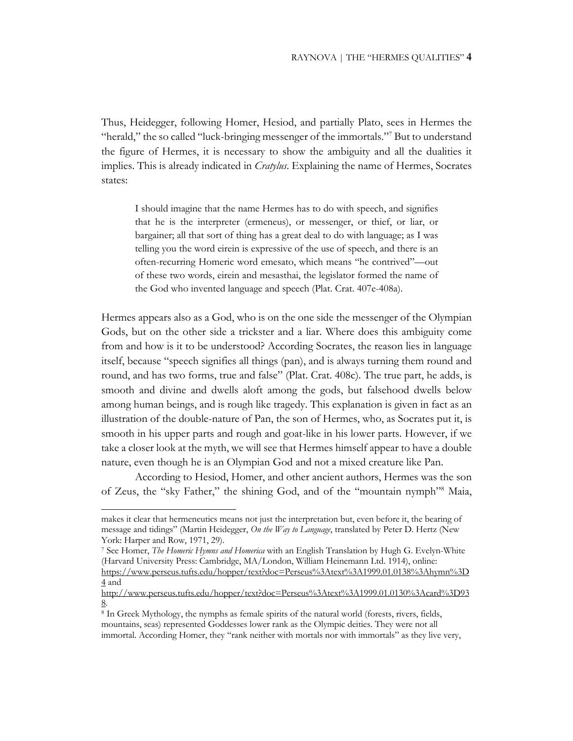Thus, Heidegger, following Homer, Hesiod, and partially Plato, sees in Hermes the "herald," the so called "luck-bringing messenger of the immortals."<sup>7</sup> But to understand the figure of Hermes, it is necessary to show the ambiguity and all the dualities it implies. This is already indicated in *Cratylus*. Explaining the name of Hermes, Socrates states:

I should imagine that the name Hermes has to do with speech, and signifies that he is the interpreter (ermeneus), or messenger, or thief, or liar, or bargainer; all that sort of thing has a great deal to do with language; as I was telling you the word eirein is expressive of the use of speech, and there is an often-recurring Homeric word emesato, which means "he contrived"—out of these two words, eirein and mesasthai, the legislator formed the name of the God who invented language and speech (Plat. Crat. 407e-408a).

Hermes appears also as a God, who is on the one side the messenger of the Olympian Gods, but on the other side a trickster and a liar. Where does this ambiguity come from and how is it to be understood? According Socrates, the reason lies in language itself, because "speech signifies all things (pan), and is always turning them round and round, and has two forms, true and false" (Plat. Crat. 408c). The true part, he adds, is smooth and divine and dwells aloft among the gods, but falsehood dwells below among human beings, and is rough like tragedy. This explanation is given in fact as an illustration of the double-nature of Pan, the son of Hermes, who, as Socrates put it, is smooth in his upper parts and rough and goat-like in his lower parts. However, if we take a closer look at the myth, we will see that Hermes himself appear to have a double nature, even though he is an Olympian God and not a mixed creature like Pan.

According to Hesiod, Homer, and other ancient authors, Hermes was the son of Zeus, the "sky Father," the shining God, and of the "mountain nymph"8 Maia,

makes it clear that hermeneutics means not just the interpretation but, even before it, the bearing of message and tidings" (Martin Heidegger, *On the Way to Language*, translated by Peter D. Hertz (New York: Harper and Row, 1971, 29).

<sup>7</sup> See Homer, *The Homeric Hymns and Homerica* with an English Translation by Hugh G. Evelyn-White (Harvard University Press: Cambridge, MA/London, William Heinemann Ltd. 1914), online: https://www.perseus.tufts.edu/hopper/text?doc=Perseus%3Atext%3A1999.01.0138%3Ahymn%3D

<sup>4</sup> and

http://www.perseus.tufts.edu/hopper/text?doc=Perseus%3Atext%3A1999.01.0130%3Acard%3D93 8.

<sup>8</sup> In Greek Mythology, the nymphs as female spirits of the natural world (forests, rivers, fields, mountains, seas) represented Goddesses lower rank as the Olympic deities. They were not all immortal. According Homer, they "rank neither with mortals nor with immortals" as they live very,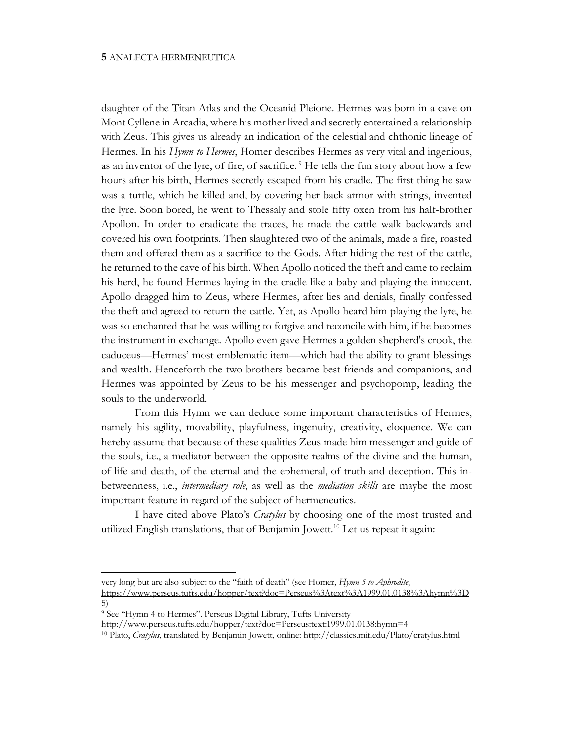daughter of the Titan Atlas and the Oceanid Pleione. Hermes was born in a cave on Mont Cyllene in Arcadia, where his mother lived and secretly entertained a relationship with Zeus. This gives us already an indication of the celestial and chthonic lineage of Hermes. In his *Hymn to Hermes*, Homer describes Hermes as very vital and ingenious, as an inventor of the lyre, of fire, of sacrifice.<sup>9</sup> He tells the fun story about how a few hours after his birth, Hermes secretly escaped from his cradle. The first thing he saw was a turtle, which he killed and, by covering her back armor with strings, invented the lyre. Soon bored, he went to Thessaly and stole fifty oxen from his half-brother Apollon. In order to eradicate the traces, he made the cattle walk backwards and covered his own footprints. Then slaughtered two of the animals, made a fire, roasted them and offered them as a sacrifice to the Gods. After hiding the rest of the cattle, he returned to the cave of his birth. When Apollo noticed the theft and came to reclaim his herd, he found Hermes laying in the cradle like a baby and playing the innocent. Apollo dragged him to Zeus, where Hermes, after lies and denials, finally confessed the theft and agreed to return the cattle. Yet, as Apollo heard him playing the lyre, he was so enchanted that he was willing to forgive and reconcile with him, if he becomes the instrument in exchange. Apollo even gave Hermes a golden shepherd's crook, the caduceus—Hermes' most emblematic item—which had the ability to grant blessings and wealth. Henceforth the two brothers became best friends and companions, and Hermes was appointed by Zeus to be his messenger and psychopomp, leading the souls to the underworld.

From this Hymn we can deduce some important characteristics of Hermes, namely his agility, movability, playfulness, ingenuity, creativity, eloquence. We can hereby assume that because of these qualities Zeus made him messenger and guide of the souls, i.e., a mediator between the opposite realms of the divine and the human, of life and death, of the eternal and the ephemeral, of truth and deception. This inbetweenness, i.e., *intermediary role*, as well as the *mediation skills* are maybe the most important feature in regard of the subject of hermeneutics.

I have cited above Plato's *Cratylus* by choosing one of the most trusted and utilized English translations, that of Benjamin Jowett.<sup>10</sup> Let us repeat it again:

very long but are also subject to the "faith of death" (see Homer, *Hymn 5 to Aphrodite*, https://www.perseus.tufts.edu/hopper/text?doc=Perseus%3Atext%3A1999.01.0138%3Ahymn%3D 5)

<sup>9</sup> See "Hymn 4 to Hermes". Perseus Digital Library, Tufts University

http://www.perseus.tufts.edu/hopper/text?doc=Perseus:text:1999.01.0138:hymn=4

<sup>10</sup> Plato, *Cratylus*, translated by Benjamin Jowett, online: http://classics.mit.edu/Plato/cratylus.html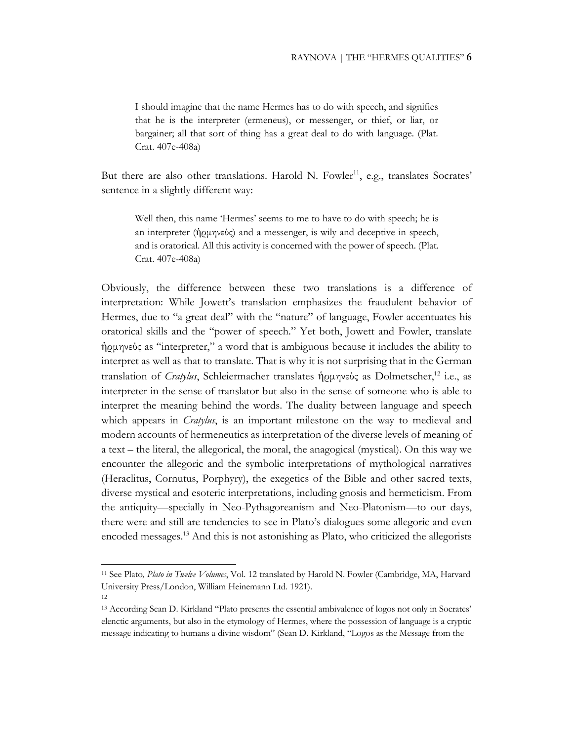I should imagine that the name Hermes has to do with speech, and signifies that he is the interpreter (ermeneus), or messenger, or thief, or liar, or bargainer; all that sort of thing has a great deal to do with language. (Plat. Crat. 407e-408a)

But there are also other translations. Harold N. Fowler<sup>11</sup>, e.g., translates Socrates' sentence in a slightly different way:

Well then, this name 'Hermes' seems to me to have to do with speech; he is an interpreter (ἡρμηνεύς) and a messenger, is wily and deceptive in speech, and is oratorical. All this activity is concerned with the power of speech. (Plat. Crat. 407e-408a)

Obviously, the difference between these two translations is a difference of interpretation: While Jowett's translation emphasizes the fraudulent behavior of Hermes, due to "a great deal" with the "nature" of language, Fowler accentuates his oratorical skills and the "power of speech." Yet both, Jowett and Fowler, translate ἡρμηνεύς as "interpreter," a word that is ambiguous because it includes the ability to interpret as well as that to translate. That is why it is not surprising that in the German translation of *Cratylus*, Schleiermacher translates ήρμηνεύς as Dolmetscher,<sup>12</sup> i.e., as interpreter in the sense of translator but also in the sense of someone who is able to interpret the meaning behind the words. The duality between language and speech which appears in *Cratylus*, is an important milestone on the way to medieval and modern accounts of hermeneutics as interpretation of the diverse levels of meaning of a text – the literal, the allegorical, the moral, the anagogical (mystical). On this way we encounter the allegoric and the symbolic interpretations of mythological narratives (Heraclitus, Cornutus, Porphyry), the exegetics of the Bible and other sacred texts, diverse mystical and esoteric interpretations, including gnosis and hermeticism. From the antiquity—specially in Neo-Pythagoreanism and Neo-Platonism—to our days, there were and still are tendencies to see in Plato's dialogues some allegoric and even encoded messages.<sup>13</sup> And this is not astonishing as Plato, who criticized the allegorists

<sup>11</sup> See Plato*, Plato in Twelve Volumes*, Vol. 12 translated by Harold N. Fowler (Cambridge, MA, Harvard University Press/London, William Heinemann Ltd. 1921).

<sup>12</sup>

<sup>13</sup> According Sean D. Kirkland "Plato presents the essential ambivalence of logos not only in Socrates' elenctic arguments, but also in the etymology of Hermes, where the possession of language is a cryptic message indicating to humans a divine wisdom" (Sean D. Kirkland, "Logos as the Message from the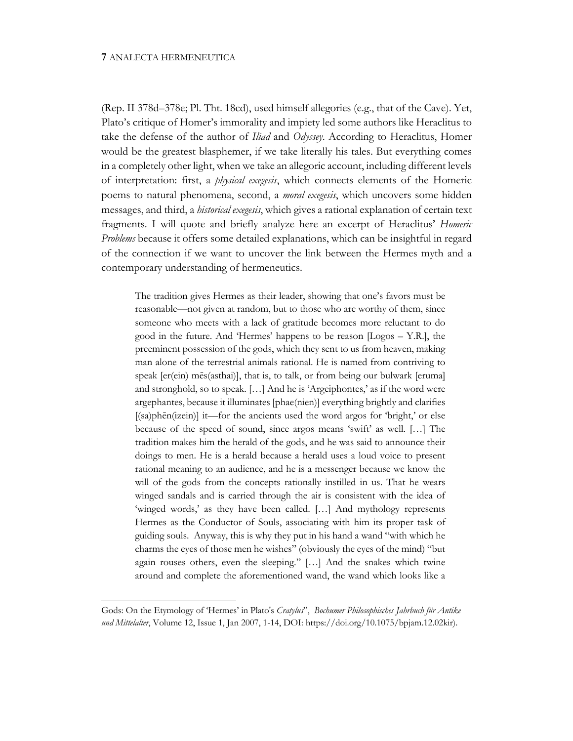(Rep. II 378d–378e; Pl. Tht. 18cd), used himself allegories (e.g., that of the Cave). Yet, Plato's critique of Homer's immorality and impiety led some authors like Heraclitus to take the defense of the author of *Iliad* and *Odyssey*. According to Heraclitus, Homer would be the greatest blasphemer, if we take literally his tales. But everything comes in a completely other light, when we take an allegoric account, including different levels of interpretation: first, a *physical exegesis*, which connects elements of the Homeric poems to natural phenomena, second, a *moral exegesis*, which uncovers some hidden messages, and third, a *historical exegesis*, which gives a rational explanation of certain text fragments. I will quote and briefly analyze here an excerpt of Heraclitus' *Homeric Problems* because it offers some detailed explanations, which can be insightful in regard of the connection if we want to uncover the link between the Hermes myth and a contemporary understanding of hermeneutics.

The tradition gives Hermes as their leader, showing that one's favors must be reasonable—not given at random, but to those who are worthy of them, since someone who meets with a lack of gratitude becomes more reluctant to do good in the future. And 'Hermes' happens to be reason [Logos – Y.R.], the preeminent possession of the gods, which they sent to us from heaven, making man alone of the terrestrial animals rational. He is named from contriving to speak [er(ein) mēs(asthai)], that is, to talk, or from being our bulwark [eruma] and stronghold, so to speak. […] And he is 'Argeiphontes,' as if the word were argephantes, because it illuminates [phae(nien)] everything brightly and clarifies [(sa)phēn(izein)] it—for the ancients used the word argos for 'bright,' or else because of the speed of sound, since argos means 'swift' as well. […] The tradition makes him the herald of the gods, and he was said to announce their doings to men. He is a herald because a herald uses a loud voice to present rational meaning to an audience, and he is a messenger because we know the will of the gods from the concepts rationally instilled in us. That he wears winged sandals and is carried through the air is consistent with the idea of 'winged words,' as they have been called. […] And mythology represents Hermes as the Conductor of Souls, associating with him its proper task of guiding souls. Anyway, this is why they put in his hand a wand "with which he charms the eyes of those men he wishes" (obviously the eyes of the mind) "but again rouses others, even the sleeping." […] And the snakes which twine around and complete the aforementioned wand, the wand which looks like a

Gods: On the Etymology of 'Hermes' in Plato's *Cratylus*", *Bochumer Philosophisches Jahrbuch für Antike und Mittelalter*, Volume 12, Issue 1, Jan 2007, 1-14, DOI: https://doi.org/10.1075/bpjam.12.02kir).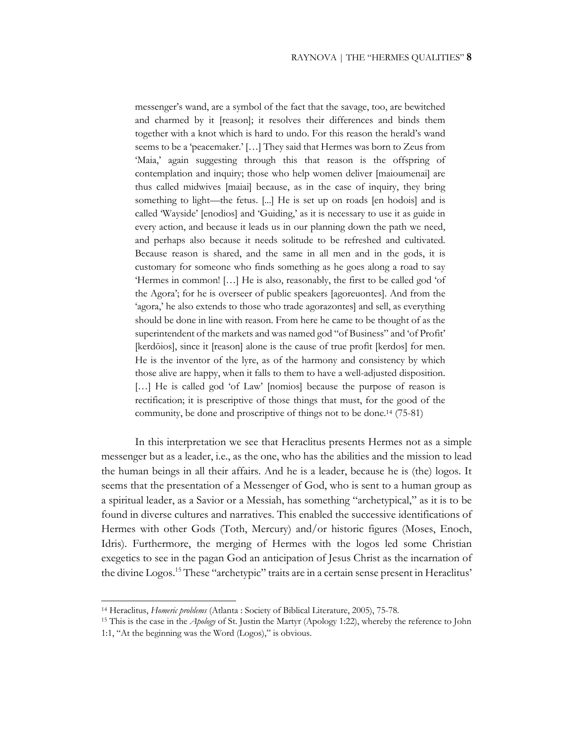messenger's wand, are a symbol of the fact that the savage, too, are bewitched and charmed by it [reason]; it resolves their differences and binds them together with a knot which is hard to undo. For this reason the herald's wand seems to be a 'peacemaker.' […] They said that Hermes was born to Zeus from 'Maia,' again suggesting through this that reason is the offspring of contemplation and inquiry; those who help women deliver [maioumenai] are thus called midwives [maiai] because, as in the case of inquiry, they bring something to light—the fetus. [...] He is set up on roads [en hodois] and is called 'Wayside' [enodios] and 'Guiding,' as it is necessary to use it as guide in every action, and because it leads us in our planning down the path we need, and perhaps also because it needs solitude to be refreshed and cultivated. Because reason is shared, and the same in all men and in the gods, it is customary for someone who finds something as he goes along a road to say 'Hermes in common! […] He is also, reasonably, the first to be called god 'of the Agora'; for he is overseer of public speakers [agoreuontes]. And from the 'agora,' he also extends to those who trade agorazontes] and sell, as everything should be done in line with reason. From here he came to be thought of as the superintendent of the markets and was named god "of Business" and 'of Profit' [kerdōios], since it [reason] alone is the cause of true profit [kerdos] for men. He is the inventor of the lyre, as of the harmony and consistency by which those alive are happy, when it falls to them to have a well-adjusted disposition. [...] He is called god 'of Law' [nomios] because the purpose of reason is rectification; it is prescriptive of those things that must, for the good of the community, be done and proscriptive of things not to be done.14 (75-81)

In this interpretation we see that Heraclitus presents Hermes not as a simple messenger but as a leader, i.e., as the one, who has the abilities and the mission to lead the human beings in all their affairs. And he is a leader, because he is (the) logos. It seems that the presentation of a Messenger of God, who is sent to a human group as a spiritual leader, as a Savior or a Messiah, has something "archetypical," as it is to be found in diverse cultures and narratives. This enabled the successive identifications of Hermes with other Gods (Toth, Mercury) and/or historic figures (Moses, Enoch, Idris). Furthermore, the merging of Hermes with the logos led some Christian exegetics to see in the pagan God an anticipation of Jesus Christ as the incarnation of the divine Logos.15 These "archetypic" traits are in a certain sense present in Heraclitus'

<sup>14</sup> Heraclitus, *Homeric problems* (Atlanta : Society of Biblical Literature, 2005), 75-78.

<sup>15</sup> This is the case in the *Apology* of St. Justin the Martyr (Apology 1:22), whereby the reference to John 1:1, "At the beginning was the Word (Logos)," is obvious.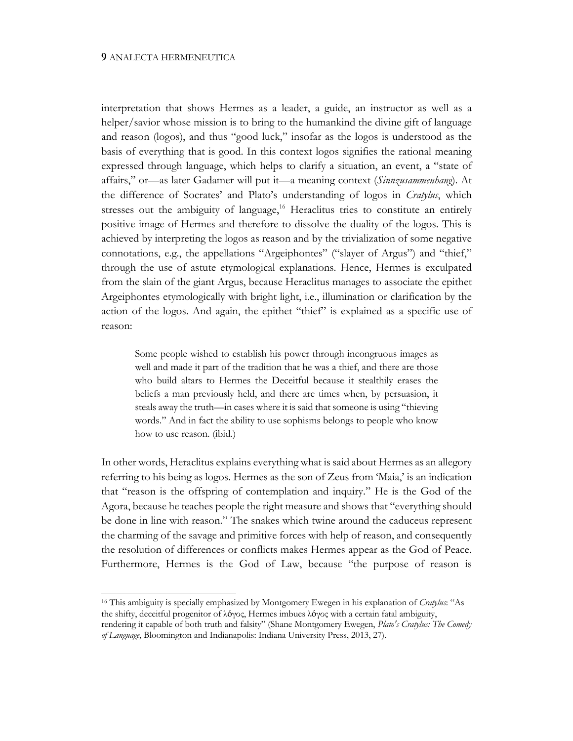interpretation that shows Hermes as a leader, a guide, an instructor as well as a helper/savior whose mission is to bring to the humankind the divine gift of language and reason (logos), and thus "good luck," insofar as the logos is understood as the basis of everything that is good. In this context logos signifies the rational meaning expressed through language, which helps to clarify a situation, an event, a "state of affairs," or—as later Gadamer will put it—a meaning context (*Sinnzusammenhang*). At the difference of Socrates' and Plato's understanding of logos in *Cratylus*, which stresses out the ambiguity of language,<sup>16</sup> Heraclitus tries to constitute an entirely positive image of Hermes and therefore to dissolve the duality of the logos. This is achieved by interpreting the logos as reason and by the trivialization of some negative connotations, e.g., the appellations "Argeiphontes" ("slayer of Argus") and "thief," through the use of astute etymological explanations. Hence, Hermes is exculpated from the slain of the giant Argus, because Heraclitus manages to associate the epithet Argeiphontes etymologically with bright light, i.e., illumination or clarification by the action of the logos. And again, the epithet "thief" is explained as a specific use of reason:

Some people wished to establish his power through incongruous images as well and made it part of the tradition that he was a thief, and there are those who build altars to Hermes the Deceitful because it stealthily erases the beliefs a man previously held, and there are times when, by persuasion, it steals away the truth—in cases where it is said that someone is using "thieving words." And in fact the ability to use sophisms belongs to people who know how to use reason. (ibid.)

In other words, Heraclitus explains everything what is said about Hermes as an allegory referring to his being as logos. Hermes as the son of Zeus from 'Maia,' is an indication that "reason is the offspring of contemplation and inquiry." He is the God of the Agora, because he teaches people the right measure and shows that "everything should be done in line with reason." The snakes which twine around the caduceus represent the charming of the savage and primitive forces with help of reason, and consequently the resolution of differences or conflicts makes Hermes appear as the God of Peace. Furthermore, Hermes is the God of Law, because "the purpose of reason is

<sup>16</sup> This ambiguity is specially emphasized by Montgomery Ewegen in his explanation of *Cratylus*: "As the shifty, deceitful progenitor of λόγος, Hermes imbues λόγος with a certain fatal ambiguity, rendering it capable of both truth and falsity" (Shane Montgomery Ewegen, *Plato's Cratylus: The Comedy of Language*, Bloomington and Indianapolis: Indiana University Press, 2013, 27).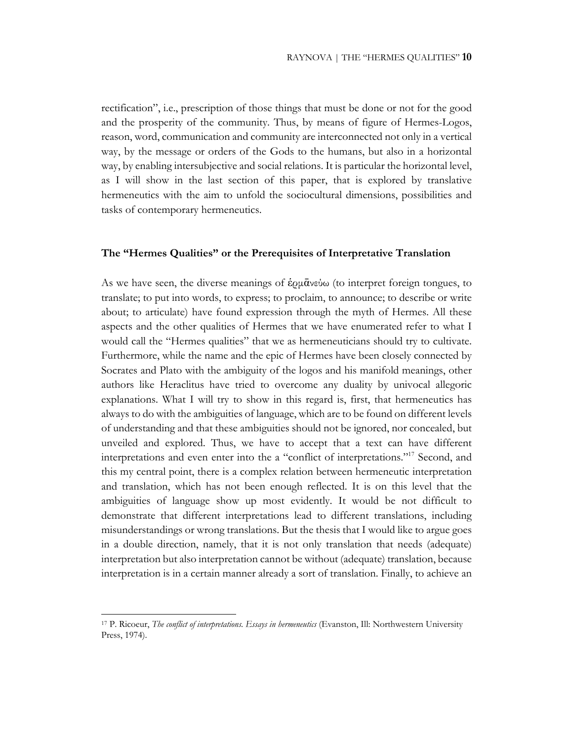rectification", i.e., prescription of those things that must be done or not for the good and the prosperity of the community. Thus, by means of figure of Hermes-Logos, reason, word, communication and community are interconnected not only in a vertical way, by the message or orders of the Gods to the humans, but also in a horizontal way, by enabling intersubjective and social relations. It is particular the horizontal level, as I will show in the last section of this paper, that is explored by translative hermeneutics with the aim to unfold the sociocultural dimensions, possibilities and tasks of contemporary hermeneutics.

## **The "Hermes Qualities" or the Prerequisites of Interpretative Translation**

As we have seen, the diverse meanings of  $\dot{\epsilon}$ ρμ $\bar{\alpha}$ νεύω (to interpret foreign tongues, to translate; to put into words, to express; to proclaim, to announce; to describe or write about; to articulate) have found expression through the myth of Hermes. All these aspects and the other qualities of Hermes that we have enumerated refer to what I would call the "Hermes qualities" that we as hermeneuticians should try to cultivate. Furthermore, while the name and the epic of Hermes have been closely connected by Socrates and Plato with the ambiguity of the logos and his manifold meanings, other authors like Heraclitus have tried to overcome any duality by univocal allegoric explanations. What I will try to show in this regard is, first, that hermeneutics has always to do with the ambiguities of language, which are to be found on different levels of understanding and that these ambiguities should not be ignored, nor concealed, but unveiled and explored. Thus, we have to accept that a text can have different interpretations and even enter into the a "conflict of interpretations."17 Second, and this my central point, there is a complex relation between hermeneutic interpretation and translation, which has not been enough reflected. It is on this level that the ambiguities of language show up most evidently. It would be not difficult to demonstrate that different interpretations lead to different translations, including misunderstandings or wrong translations. But the thesis that I would like to argue goes in a double direction, namely, that it is not only translation that needs (adequate) interpretation but also interpretation cannot be without (adequate) translation, because interpretation is in a certain manner already a sort of translation. Finally, to achieve an

<sup>17</sup> P. Ricoeur, *The conflict of interpretations. Essays in hermeneutics* (Evanston, Ill: Northwestern University Press, 1974).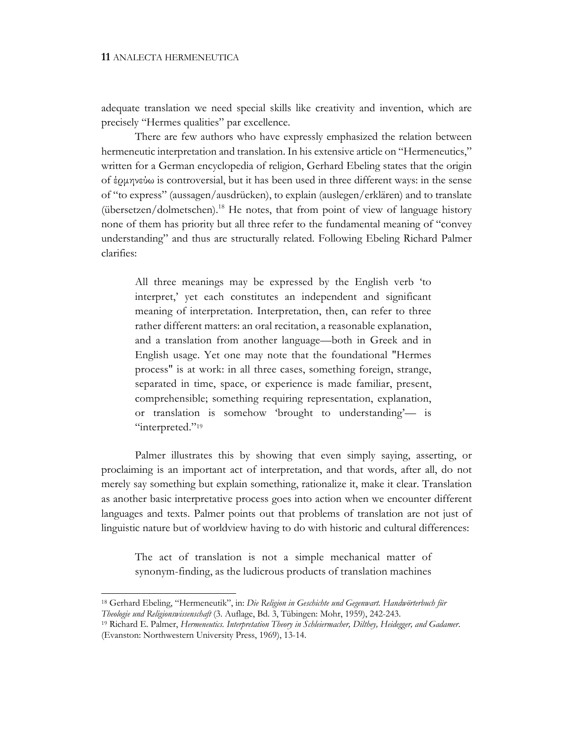adequate translation we need special skills like creativity and invention, which are precisely "Hermes qualities" par excellence.

There are few authors who have expressly emphasized the relation between hermeneutic interpretation and translation. In his extensive article on "Hermeneutics," written for a German encyclopedia of religion, Gerhard Ebeling states that the origin of έρμηνεύω is controversial, but it has been used in three different ways: in the sense of "to express" (aussagen/ausdrücken), to explain (auslegen/erklären) and to translate (übersetzen/dolmetschen).18 He notes, that from point of view of language history none of them has priority but all three refer to the fundamental meaning of "convey understanding" and thus are structurally related. Following Ebeling Richard Palmer clarifies:

All three meanings may be expressed by the English verb 'to interpret,' yet each constitutes an independent and significant meaning of interpretation. Interpretation, then, can refer to three rather different matters: an oral recitation, a reasonable explanation, and a translation from another language—both in Greek and in English usage. Yet one may note that the foundational "Hermes process" is at work: in all three cases, something foreign, strange, separated in time, space, or experience is made familiar, present, comprehensible; something requiring representation, explanation, or translation is somehow 'brought to understanding'— is "interpreted."<sup>19</sup>

Palmer illustrates this by showing that even simply saying, asserting, or proclaiming is an important act of interpretation, and that words, after all, do not merely say something but explain something, rationalize it, make it clear. Translation as another basic interpretative process goes into action when we encounter different languages and texts. Palmer points out that problems of translation are not just of linguistic nature but of worldview having to do with historic and cultural differences:

The act of translation is not a simple mechanical matter of synonym-finding, as the ludicrous products of translation machines

<sup>18</sup> Gerhard Ebeling, "Hermeneutik", in: *Die Religion in Geschichte und Gegenwart. Handwörterbuch für Theologie und Religionswissenschaft* (3. Auflage, Bd. 3, Tübingen: Mohr, 1959), 242-243.

<sup>19</sup> Richard E. Palmer, *Hermeneutics. Interpretation Theory in Schleiermacher, Dilthey, Heidegger, and Gadamer*. (Evanston: Northwestern University Press, 1969), 13-14.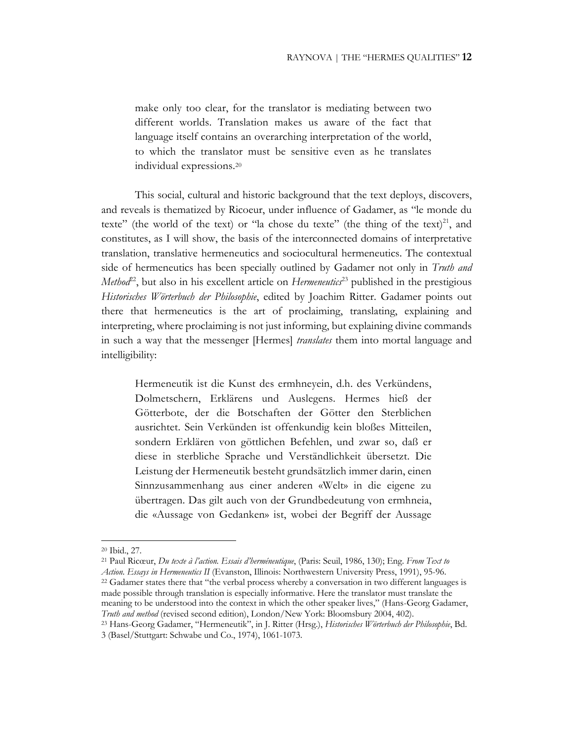make only too clear, for the translator is mediating between two different worlds. Translation makes us aware of the fact that language itself contains an overarching interpretation of the world, to which the translator must be sensitive even as he translates individual expressions.20

This social, cultural and historic background that the text deploys, discovers, and reveals is thematized by Ricoeur, under influence of Gadamer, as "le monde du texte" (the world of the text) or "la chose du texte" (the thing of the text)<sup>21</sup>, and constitutes, as I will show, the basis of the interconnected domains of interpretative translation, translative hermeneutics and sociocultural hermeneutics. The contextual side of hermeneutics has been specially outlined by Gadamer not only in *Truth and Method*<sup>22</sup>, but also in his excellent article on *Hermeneutics*<sup>23</sup> published in the prestigious *Historisches Wörterbuch der Philosophie*, edited by Joachim Ritter. Gadamer points out there that hermeneutics is the art of proclaiming, translating, explaining and interpreting, where proclaiming is not just informing, but explaining divine commands in such a way that the messenger [Hermes] *translates* them into mortal language and intelligibility:

Hermeneutik ist die Kunst des ermhneyein, d.h. des Verkündens, Dolmetschern, Erklärens und Auslegens. Hermes hieß der Götterbote, der die Botschaften der Götter den Sterblichen ausrichtet. Sein Verkünden ist offenkundig kein bloßes Mitteilen, sondern Erklären von göttlichen Befehlen, und zwar so, daß er diese in sterbliche Sprache und Verständlichkeit übersetzt. Die Leistung der Hermeneutik besteht grundsätzlich immer darin, einen Sinnzusammenhang aus einer anderen «Welt» in die eigene zu übertragen. Das gilt auch von der Grundbedeutung von ermhneia, die «Aussage von Gedanken» ist, wobei der Begriff der Aussage

<sup>21</sup> Paul Ricœur, *Du texte à l'action. Essais d'herméneutique*, (Paris: Seuil, 1986, 130); Eng. *From Text to Action. Essays in Hermeneutics II* (Evanston, Illinois: Northwestern University Press, 1991), 95-96. <sup>22</sup> Gadamer states there that "the verbal process whereby a conversation in two different languages is made possible through translation is especially informative. Here the translator must translate the meaning to be understood into the context in which the other speaker lives," (Hans-Georg Gadamer,

<sup>20</sup> Ibid., 27.

*Truth and method* (revised second edition), London/New York: Bloomsbury 2004, 402).

<sup>23</sup> Hans-Georg Gadamer, "Hermeneutik", in J. Ritter (Hrsg.), *Historisches Wörterbuch der Philosophie*, Bd. 3 (Basel/Stuttgart: Schwabe und Co., 1974), 1061-1073.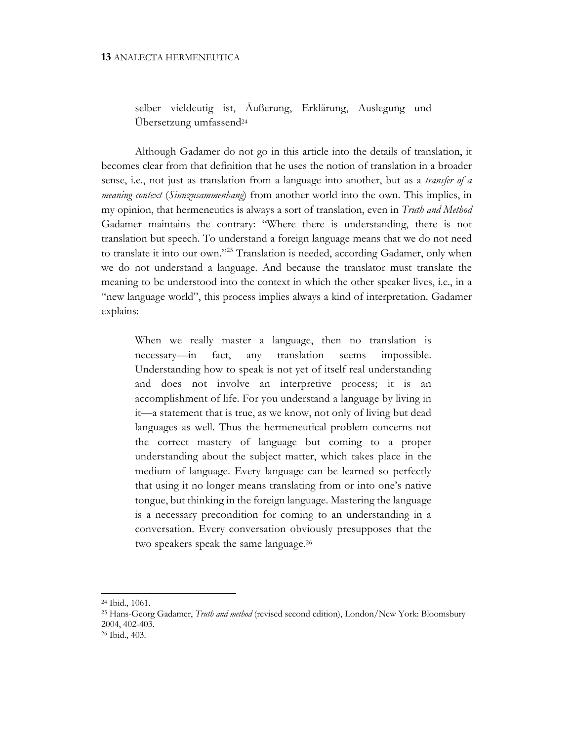## selber vieldeutig ist, Äußerung, Erklärung, Auslegung und Übersetzung umfassend24

Although Gadamer do not go in this article into the details of translation, it becomes clear from that definition that he uses the notion of translation in a broader sense, i.e., not just as translation from a language into another, but as a *transfer of a meaning context* (*Sinnzusammenhang*) from another world into the own. This implies, in my opinion, that hermeneutics is always a sort of translation, even in *Truth and Method* Gadamer maintains the contrary: "Where there is understanding, there is not translation but speech. To understand a foreign language means that we do not need to translate it into our own."25 Translation is needed, according Gadamer, only when we do not understand a language. And because the translator must translate the meaning to be understood into the context in which the other speaker lives, i.e., in a "new language world", this process implies always a kind of interpretation. Gadamer explains:

When we really master a language, then no translation is necessary—in fact, any translation seems impossible. Understanding how to speak is not yet of itself real understanding and does not involve an interpretive process; it is an accomplishment of life. For you understand a language by living in it—a statement that is true, as we know, not only of living but dead languages as well. Thus the hermeneutical problem concerns not the correct mastery of language but coming to a proper understanding about the subject matter, which takes place in the medium of language. Every language can be learned so perfectly that using it no longer means translating from or into one's native tongue, but thinking in the foreign language. Mastering the language is a necessary precondition for coming to an understanding in a conversation. Every conversation obviously presupposes that the two speakers speak the same language.26

<sup>24</sup> Ibid., 1061.

<sup>25</sup> Hans-Georg Gadamer, *Truth and method* (revised second edition), London/New York: Bloomsbury 2004, 402-403.

<sup>26</sup> Ibid., 403.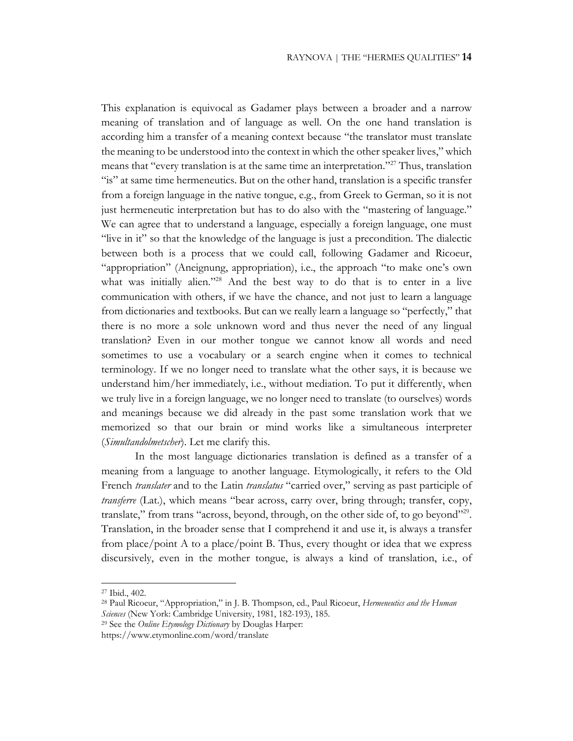This explanation is equivocal as Gadamer plays between a broader and a narrow meaning of translation and of language as well. On the one hand translation is according him a transfer of a meaning context because "the translator must translate the meaning to be understood into the context in which the other speaker lives," which means that "every translation is at the same time an interpretation."27 Thus, translation "is" at same time hermeneutics. But on the other hand, translation is a specific transfer from a foreign language in the native tongue, e.g., from Greek to German, so it is not just hermeneutic interpretation but has to do also with the "mastering of language." We can agree that to understand a language, especially a foreign language, one must "live in it" so that the knowledge of the language is just a precondition. The dialectic between both is a process that we could call, following Gadamer and Ricoeur, "appropriation" (Aneignung, appropriation), i.e., the approach "to make one's own what was initially alien."<sup>28</sup> And the best way to do that is to enter in a live communication with others, if we have the chance, and not just to learn a language from dictionaries and textbooks. But can we really learn a language so "perfectly," that there is no more a sole unknown word and thus never the need of any lingual translation? Even in our mother tongue we cannot know all words and need sometimes to use a vocabulary or a search engine when it comes to technical terminology. If we no longer need to translate what the other says, it is because we understand him/her immediately, i.e., without mediation. To put it differently, when we truly live in a foreign language, we no longer need to translate (to ourselves) words and meanings because we did already in the past some translation work that we memorized so that our brain or mind works like a simultaneous interpreter (*Simultandolmetscher*). Let me clarify this.

In the most language dictionaries translation is defined as a transfer of a meaning from a language to another language. Etymologically, it refers to the Old French *translater* and to the Latin *translatus* "carried over," serving as past participle of *transferre* (Lat.), which means "bear across, carry over, bring through; transfer, copy, translate," from trans "across, beyond, through, on the other side of, to go beyond"29. Translation, in the broader sense that I comprehend it and use it, is always a transfer from place/point A to a place/point B. Thus, every thought or idea that we express discursively, even in the mother tongue, is always a kind of translation, i.e., of

<sup>27</sup> Ibid., 402.

<sup>28</sup> Paul Ricoeur, "Appropriation," in J. B. Thompson, ed., Paul Ricoeur, *Hermeneutics and the Human Sciences* (New York: Cambridge University, 1981, 182-193), 185.

<sup>29</sup> See the *Online Etymology Dictionary* by Douglas Harper:

https://www.etymonline.com/word/translate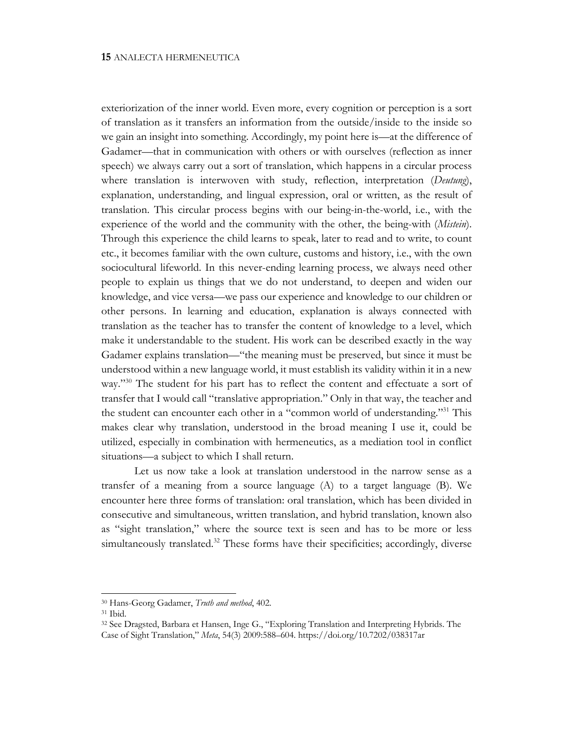exteriorization of the inner world. Even more, every cognition or perception is a sort of translation as it transfers an information from the outside/inside to the inside so we gain an insight into something. Accordingly, my point here is—at the difference of Gadamer—that in communication with others or with ourselves (reflection as inner speech) we always carry out a sort of translation, which happens in a circular process where translation is interwoven with study, reflection, interpretation (*Deutung*), explanation, understanding, and lingual expression, oral or written, as the result of translation. This circular process begins with our being-in-the-world, i.e., with the experience of the world and the community with the other, the being-with (*Mistein*). Through this experience the child learns to speak, later to read and to write, to count etc., it becomes familiar with the own culture, customs and history, i.e., with the own sociocultural lifeworld. In this never-ending learning process, we always need other people to explain us things that we do not understand, to deepen and widen our knowledge, and vice versa—we pass our experience and knowledge to our children or other persons. In learning and education, explanation is always connected with translation as the teacher has to transfer the content of knowledge to a level, which make it understandable to the student. His work can be described exactly in the way Gadamer explains translation—"the meaning must be preserved, but since it must be understood within a new language world, it must establish its validity within it in a new way."<sup>30</sup> The student for his part has to reflect the content and effectuate a sort of transfer that I would call "translative appropriation." Only in that way, the teacher and the student can encounter each other in a "common world of understanding."31 This makes clear why translation, understood in the broad meaning I use it, could be utilized, especially in combination with hermeneutics, as a mediation tool in conflict situations—a subject to which I shall return.

Let us now take a look at translation understood in the narrow sense as a transfer of a meaning from a source language (A) to a target language (B). We encounter here three forms of translation: oral translation, which has been divided in consecutive and simultaneous, written translation, and hybrid translation, known also as "sight translation," where the source text is seen and has to be more or less simultaneously translated.<sup>32</sup> These forms have their specificities; accordingly, diverse

<sup>30</sup> Hans-Georg Gadamer, *Truth and method*, 402. 31 Ibid.

<sup>32</sup> See Dragsted, Barbara et Hansen, Inge G., "Exploring Translation and Interpreting Hybrids. The Case of Sight Translation," *Meta*, 54(3) 2009:588–604. https://doi.org/10.7202/038317ar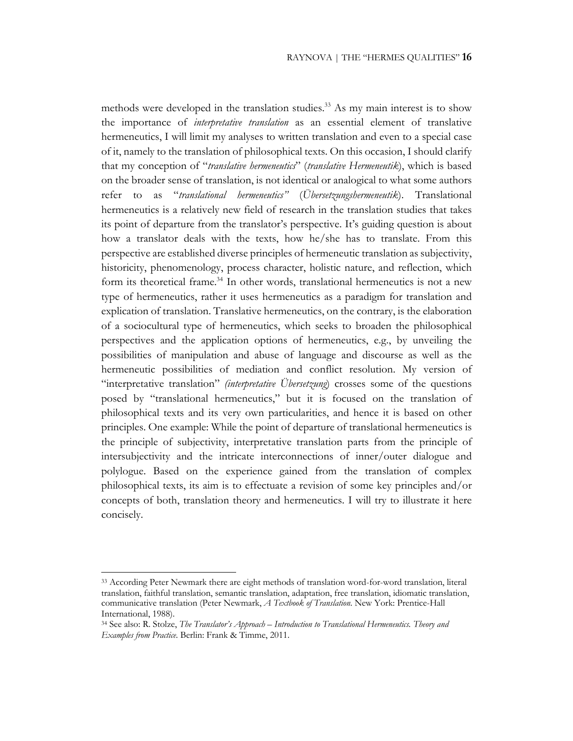methods were developed in the translation studies.<sup>33</sup> As my main interest is to show the importance of *interpretative translation* as an essential element of translative hermeneutics, I will limit my analyses to written translation and even to a special case of it, namely to the translation of philosophical texts. On this occasion, I should clarify that my conception of "*translative hermeneutics*" (*translative Hermeneutik*), which is based on the broader sense of translation, is not identical or analogical to what some authors refer to as "*translational hermeneutics"* (*Übersetzungshermeneutik*). Translational hermeneutics is a relatively new field of research in the translation studies that takes its point of departure from the translator's perspective. It's guiding question is about how a translator deals with the texts, how he/she has to translate. From this perspective are established diverse principles of hermeneutic translation as subjectivity, historicity, phenomenology, process character, holistic nature, and reflection, which form its theoretical frame.<sup>34</sup> In other words, translational hermeneutics is not a new type of hermeneutics, rather it uses hermeneutics as a paradigm for translation and explication of translation. Translative hermeneutics, on the contrary, is the elaboration of a sociocultural type of hermeneutics, which seeks to broaden the philosophical perspectives and the application options of hermeneutics, e.g., by unveiling the possibilities of manipulation and abuse of language and discourse as well as the hermeneutic possibilities of mediation and conflict resolution. My version of "interpretative translation" *(interpretative Übersetzung*) crosses some of the questions posed by "translational hermeneutics," but it is focused on the translation of philosophical texts and its very own particularities, and hence it is based on other principles. One example: While the point of departure of translational hermeneutics is the principle of subjectivity, interpretative translation parts from the principle of intersubjectivity and the intricate interconnections of inner/outer dialogue and polylogue. Based on the experience gained from the translation of complex philosophical texts, its aim is to effectuate a revision of some key principles and/or concepts of both, translation theory and hermeneutics. I will try to illustrate it here concisely.

<sup>33</sup> According Peter Newmark there are eight methods of translation word-for-word translation, literal translation, faithful translation, semantic translation, adaptation, free translation, idiomatic translation, communicative translation (Peter Newmark, *A Textbook of Translation*. New York: Prentice-Hall International, 1988).

<sup>34</sup> See also: R. Stolze, *The Translator's Approach – Introduction to Translational Hermeneutics. Theory and Examples from Practice*. Berlin: Frank & Timme, 2011.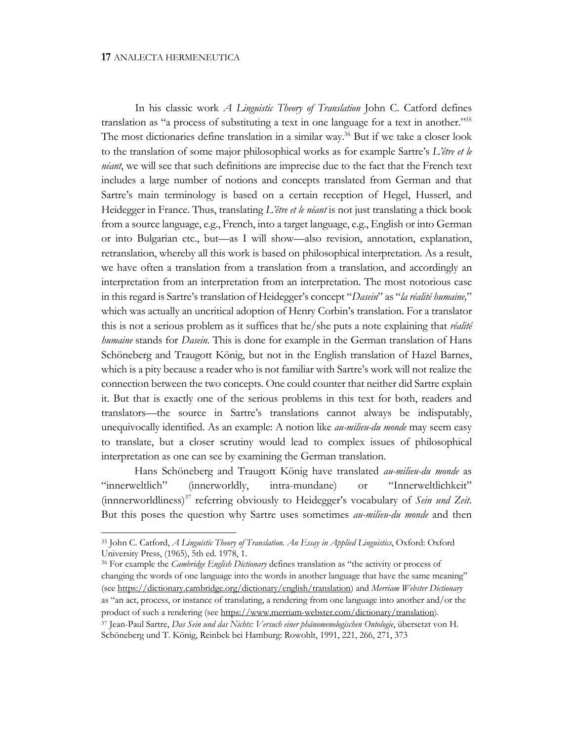In his classic work *A Linguistic Theory of Translation* John C. Catford defines translation as "a process of substituting a text in one language for a text in another."35 The most dictionaries define translation in a similar way.<sup>36</sup> But if we take a closer look to the translation of some major philosophical works as for example Sartre's *L'être et le néant*, we will see that such definitions are imprecise due to the fact that the French text includes a large number of notions and concepts translated from German and that Sartre's main terminology is based on a certain reception of Hegel, Husserl, and Heidegger in France. Thus, translating *L'être et le néant* is not just translating a thick book from a source language, e.g., French, into a target language, e.g., English or into German or into Bulgarian etc., but—as I will show—also revision, annotation, explanation, retranslation, whereby all this work is based on philosophical interpretation. As a result, we have often a translation from a translation from a translation, and accordingly an interpretation from an interpretation from an interpretation. The most notorious case in this regard is Sartre's translation of Heidegger's concept "*Dasein*" as "*la réalité humaine,*" which was actually an uncritical adoption of Henry Corbin's translation. For a translator this is not a serious problem as it suffices that he/she puts a note explaining that *réalité humaine* stands for *Dasein*. This is done for example in the German translation of Hans Schöneberg and Traugott König, but not in the English translation of Hazel Barnes, which is a pity because a reader who is not familiar with Sartre's work will not realize the connection between the two concepts. One could counter that neither did Sartre explain it. But that is exactly one of the serious problems in this text for both, readers and translators—the source in Sartre's translations cannot always be indisputably, unequivocally identified. As an example: A notion like *au-milieu-du monde* may seem easy to translate, but a closer scrutiny would lead to complex issues of philosophical interpretation as one can see by examining the German translation.

Hans Schöneberg and Traugott König have translated *au-milieu-du monde* as "innerweltlich" (innerworldly, intra-mundane) or "Innerweltlichkeit" (innnerworldliness)37 referring obviously to Heidegger's vocabulary of *Sein und Zeit*. But this poses the question why Sartre uses sometimes *au-milieu-du monde* and then

<sup>36</sup> For example the *Cambridge English Dictionary* defines translation as "the activity or process of changing the words of one language into the words in another language that have the same meaning" (see https://dictionary.cambridge.org/dictionary/english/translation) and *Merriam Webster Dictionary* as "an act, process, or instance of translating, a rendering from one language into another and/or the product of such a rendering (see https://www.merriam-webster.com/dictionary/translation).

<sup>35</sup> John C. Catford, *A Linguistic Theory of Translation. An Essay in Applied Linguistics*, Oxford: Oxford University Press, (1965), 5th ed. 1978, 1.

<sup>37</sup> Jean-Paul Sartre, *Das Sein und das Nichts: Versuch einer phänomenologischen Ontologie*, übersetzt von H. Schöneberg und T. König, Reinbek bei Hamburg: Rowohlt, 1991, 221, 266, 271, 373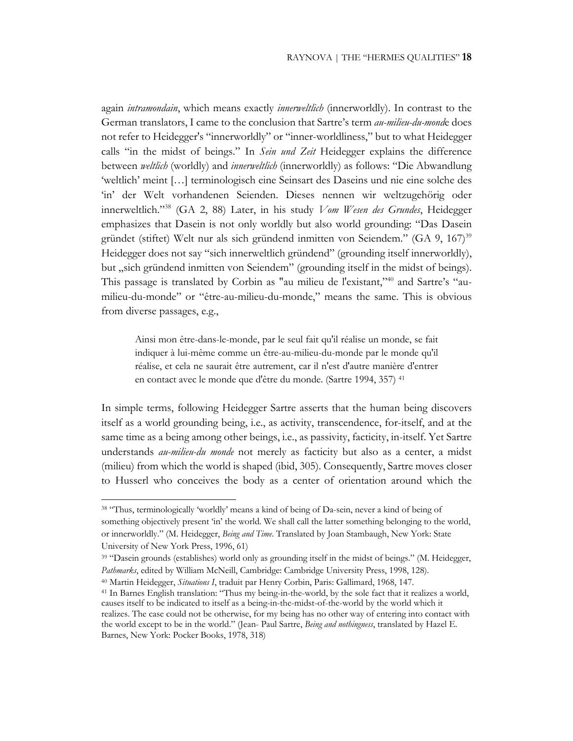again *intramondain*, which means exactly *innerweltlich* (innerworldly). In contrast to the German translators, I came to the conclusion that Sartre's term *au-milieu-du-mond*e does not refer to Heidegger's "innerworldly" or "inner-worldliness," but to what Heidegger calls "in the midst of beings." In *Sein und Zeit* Heidegger explains the difference between *weltlich* (worldly) and *innerweltlich* (innerworldly) as follows: "Die Abwandlung 'weltlich' meint […] terminologisch eine Seinsart des Daseins und nie eine solche des 'in' der Welt vorhandenen Seienden. Dieses nennen wir weltzugehörig oder innerweltlich."38 (GA 2, 88) Later, in his study *Vom Wesen des Grundes*, Heidegger emphasizes that Dasein is not only worldly but also world grounding: "Das Dasein gründet (stiftet) Welt nur als sich gründend inmitten von Seiendem." (GA 9, 167)<sup>39</sup> Heidegger does not say "sich innerweltlich gründend" (grounding itself innerworldly), but "sich gründend inmitten von Seiendem" (grounding itself in the midst of beings). This passage is translated by Corbin as "au milieu de l'existant,"40 and Sartre's "aumilieu-du-monde" or "être-au-milieu-du-monde," means the same. This is obvious from diverse passages, e.g.,

Ainsi mon être-dans-le-monde, par le seul fait qu'il réalise un monde, se fait indiquer à lui-même comme un être-au-milieu-du-monde par le monde qu'il réalise, et cela ne saurait être autrement, car il n'est d'autre manière d'entrer en contact avec le monde que d'être du monde. (Sartre 1994, 357) 41

In simple terms, following Heidegger Sartre asserts that the human being discovers itself as a world grounding being, i.e., as activity, transcendence, for-itself, and at the same time as a being among other beings, i.e., as passivity, facticity, in-itself. Yet Sartre understands *au-milieu-du monde* not merely as facticity but also as a center, a midst (milieu) from which the world is shaped (ibid, 305). Consequently, Sartre moves closer to Husserl who conceives the body as a center of orientation around which the

<sup>&</sup>lt;sup>38</sup> "Thus, terminologically 'worldly' means a kind of being of Da-sein, never a kind of being of something objectively present 'in' the world. We shall call the latter something belonging to the world, or innerworldly." (M. Heidegger, *Being and Time*. Translated by Joan Stambaugh, New York: State University of New York Press, 1996, 61)

<sup>39</sup> "Dasein grounds (establishes) world only as grounding itself in the midst of beings." (M. Heidegger, *Pathmarks*, edited by William McNeill, Cambridge: Cambridge University Press, 1998, 128).

<sup>40</sup> Martin Heidegger, *Situations I*, traduit par Henry Corbin, Paris: Gallimard, 1968, 147.

<sup>41</sup> In Barnes English translation: "Thus my being-in-the-world, by the sole fact that it realizes a world, causes itself to be indicated to itself as a being-in-the-midst-of-the-world by the world which it realizes. The case could not be otherwise, for my being has no other way of entering into contact with the world except to be in the world." (Jean- Paul Sartre, *Being and nothingness*, translated by Hazel E. Barnes, New York: Pocker Books, 1978, 318)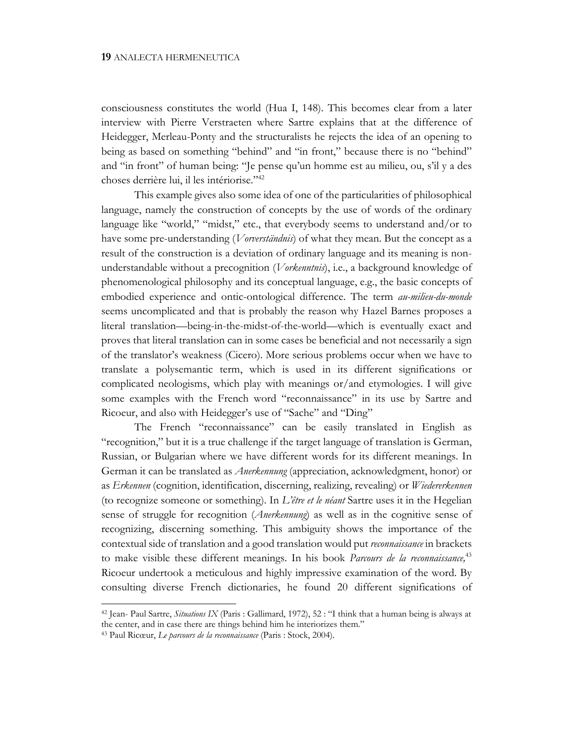consciousness constitutes the world (Hua I, 148). This becomes clear from a later interview with Pierre Verstraeten where Sartre explains that at the difference of Heidegger, Merleau-Ponty and the structuralists he rejects the idea of an opening to being as based on something "behind" and "in front," because there is no "behind" and "in front" of human being: "Je pense qu'un homme est au milieu, ou, s'il y a des choses derrière lui, il les intériorise."42

This example gives also some idea of one of the particularities of philosophical language, namely the construction of concepts by the use of words of the ordinary language like "world," "midst," etc., that everybody seems to understand and/or to have some pre-understanding (*Vorverständnis*) of what they mean. But the concept as a result of the construction is a deviation of ordinary language and its meaning is nonunderstandable without a precognition (*Vorkenntnis*), i.e., a background knowledge of phenomenological philosophy and its conceptual language, e.g., the basic concepts of embodied experience and ontic-ontological difference. The term *au-milieu-du-monde* seems uncomplicated and that is probably the reason why Hazel Barnes proposes a literal translation—being-in-the-midst-of-the-world—which is eventually exact and proves that literal translation can in some cases be beneficial and not necessarily a sign of the translator's weakness (Cicero). More serious problems occur when we have to translate a polysemantic term, which is used in its different significations or complicated neologisms, which play with meanings or/and etymologies. I will give some examples with the French word "reconnaissance" in its use by Sartre and Ricoeur, and also with Heidegger's use of "Sache" and "Ding"

The French "reconnaissance" can be easily translated in English as "recognition," but it is a true challenge if the target language of translation is German, Russian, or Bulgarian where we have different words for its different meanings. In German it can be translated as *Anerkennung* (appreciation, acknowledgment, honor) or as *Erkennen* (cognition, identification, discerning, realizing, revealing) or *Wiedererkennen*  (to recognize someone or something). In *L'être et le néant* Sartre uses it in the Hegelian sense of struggle for recognition (*Anerkennung*) as well as in the cognitive sense of recognizing, discerning something. This ambiguity shows the importance of the contextual side of translation and a good translation would put *reconnaissance* in brackets to make visible these different meanings. In his book *Parcours de la reconnaissance,*<sup>43</sup> Ricoeur undertook a meticulous and highly impressive examination of the word. By consulting diverse French dictionaries, he found 20 different significations of

<sup>42</sup> Jean- Paul Sartre, *Situations IX* (Paris : Gallimard, 1972), 52 : "I think that a human being is always at the center, and in case there are things behind him he interiorizes them." 43 Paul Ricœur, *Le parcours de la reconnaissance* (Paris : Stock, 2004).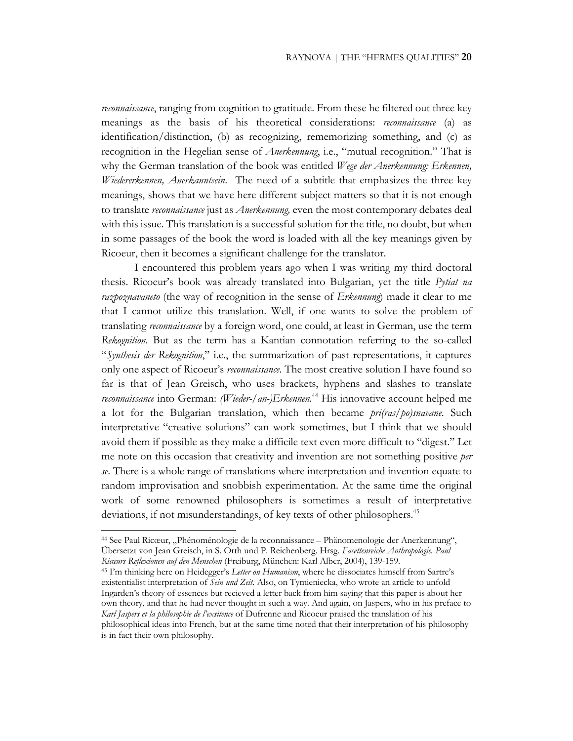*reconnaissance*, ranging from cognition to gratitude. From these he filtered out three key meanings as the basis of his theoretical considerations: *reconnaissance* (a) as identification/distinction, (b) as recognizing, rememorizing something, and (c) as recognition in the Hegelian sense of *Anerkennung*, i.e., "mutual recognition." That is why the German translation of the book was entitled *Wege der Anerkennung: Erkennen, Wiedererkennen, Anerkanntsein*. The need of a subtitle that emphasizes the three key meanings, shows that we have here different subject matters so that it is not enough to translate *reconnaissance* just as *Anerkennung,* even the most contemporary debates deal with this issue. This translation is a successful solution for the title, no doubt, but when in some passages of the book the word is loaded with all the key meanings given by Ricoeur, then it becomes a significant challenge for the translator.

I encountered this problem years ago when I was writing my third doctoral thesis. Ricoeur's book was already translated into Bulgarian, yet the title *Pytiat na razpoznavaneto* (the way of recognition in the sense of *Erkennung*) made it clear to me that I cannot utilize this translation. Well, if one wants to solve the problem of translating *reconnaissance* by a foreign word, one could, at least in German, use the term *Rekognition*. But as the term has a Kantian connotation referring to the so-called "*Synthesis der Rekognition*," i.e., the summarization of past representations, it captures only one aspect of Ricoeur's *reconnaissance*. The most creative solution I have found so far is that of Jean Greisch, who uses brackets, hyphens and slashes to translate *reconnaissance* into German: *(Wieder-/an-)Erkennen.*<sup>44</sup> His innovative account helped me a lot for the Bulgarian translation, which then became *pri(ras/po)snavane*. Such interpretative "creative solutions" can work sometimes, but I think that we should avoid them if possible as they make a difficile text even more difficult to "digest." Let me note on this occasion that creativity and invention are not something positive *per se*. There is a whole range of translations where interpretation and invention equate to random improvisation and snobbish experimentation. At the same time the original work of some renowned philosophers is sometimes a result of interpretative deviations, if not misunderstandings, of key texts of other philosophers.<sup>45</sup>

<sup>&</sup>lt;sup>44</sup> See Paul Ricœur, "Phénoménologie de la reconnaissance – Phänomenologie der Anerkennung", Übersetzt von Jean Greisch, in S. Orth und P. Reichenberg. Hrsg. *Facettenreiche Anthropologie. Paul Ricœurs Reflexionen auf den Menschen* (Freiburg, München: Karl Alber, 2004), 139-159.

<sup>45</sup> I'm thinking here on Heidegger's *Letter on Humanism*, where he dissociates himself from Sartre's existentialist interpretation of *Sein und Zeit*. Also, on Tymieniecka, who wrote an article to unfold Ingarden's theory of essences but recieved a letter back from him saying that this paper is about her own theory, and that he had never thought in such a way. And again, on Jaspers, who in his preface to *Karl Jaspers et la philosophie de l'exsitence* of Dufrenne and Ricoeur praised the translation of his philosophical ideas into French, but at the same time noted that their interpretation of his philosophy is in fact their own philosophy.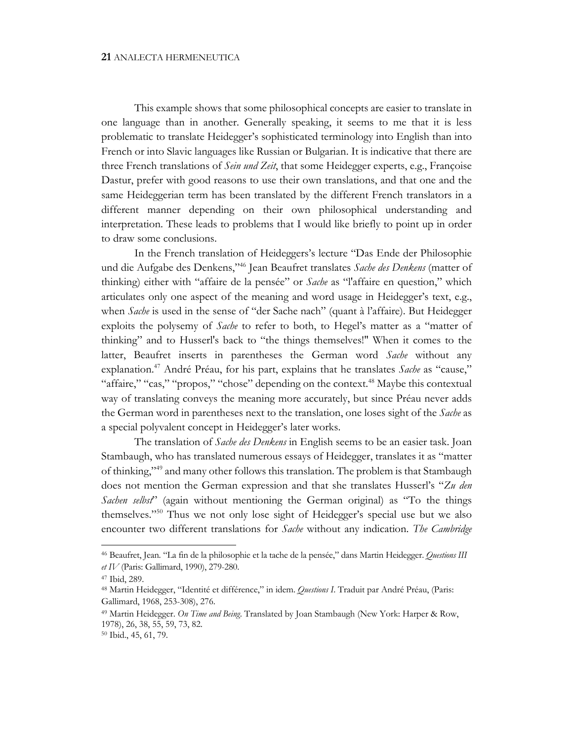This example shows that some philosophical concepts are easier to translate in one language than in another. Generally speaking, it seems to me that it is less problematic to translate Heidegger's sophisticated terminology into English than into French or into Slavic languages like Russian or Bulgarian. It is indicative that there are three French translations of *Sein und Zeit*, that some Heidegger experts, e.g., Françoise Dastur, prefer with good reasons to use their own translations, and that one and the same Heideggerian term has been translated by the different French translators in a different manner depending on their own philosophical understanding and interpretation. These leads to problems that I would like briefly to point up in order to draw some conclusions.

In the French translation of Heideggers's lecture "Das Ende der Philosophie und die Aufgabe des Denkens,"46 Jean Beaufret translates *Sache des Denkens* (matter of thinking) either with "affaire de la pensée" or *Sache* as "l'affaire en question," which articulates only one aspect of the meaning and word usage in Heidegger's text, e.g., when *Sache* is used in the sense of "der Sache nach" (quant à l'affaire). But Heidegger exploits the polysemy of *Sache* to refer to both, to Hegel's matter as a "matter of thinking" and to Husserl's back to "the things themselves!" When it comes to the latter, Beaufret inserts in parentheses the German word *Sache* without any explanation.47 André Préau, for his part, explains that he translates *Sache* as "cause," "affaire," "cas," "propos," "chose" depending on the context.<sup>48</sup> Maybe this contextual way of translating conveys the meaning more accurately, but since Préau never adds the German word in parentheses next to the translation, one loses sight of the *Sache* as a special polyvalent concept in Heidegger's later works.

The translation of *Sache des Denkens* in English seems to be an easier task. Joan Stambaugh, who has translated numerous essays of Heidegger, translates it as "matter of thinking,"49 and many other follows this translation. The problem is that Stambaugh does not mention the German expression and that she translates Husserl's "*Zu den Sachen selbst*" (again without mentioning the German original) as "To the things themselves."50 Thus we not only lose sight of Heidegger's special use but we also encounter two different translations for *Sache* without any indication. *The Cambridge* 

<sup>46</sup> Beaufret, Jean. "La fin de la philosophie et la tache de la pensée," dans Martin Heidegger. *Questions III et IV* (Paris: Gallimard, 1990), 279-280.

<sup>47</sup> Ibid, 289.

<sup>48</sup> Martin Heidegger, "Identité et différence," in idem. *Questions I*. Traduit par André Préau, (Paris: Gallimard, 1968, 253-308), 276.

<sup>49</sup> Martin Heidegger. *On Time and Being*. Translated by Joan Stambaugh (New York: Harper & Row, 1978), 26, 38, 55, 59, 73, 82.

<sup>50</sup> Ibid., 45, 61, 79.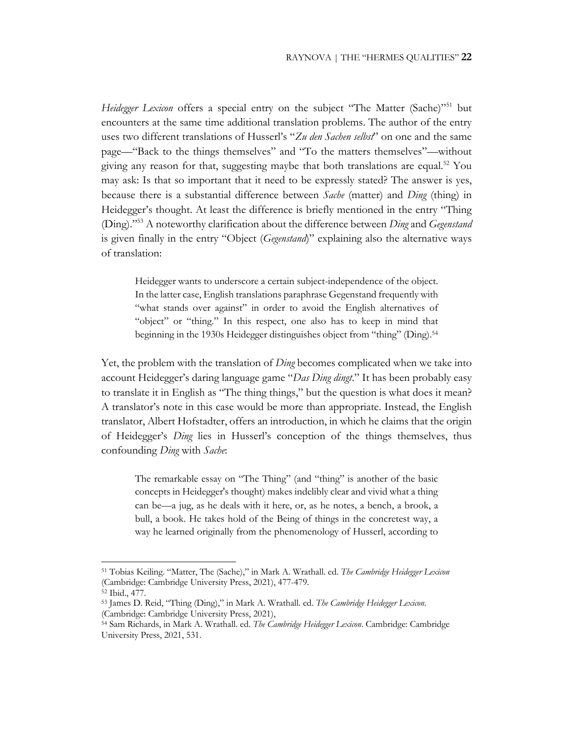*Heidegger Lexicon* offers a special entry on the subject "The Matter (Sache)"<sup>51</sup> but encounters at the same time additional translation problems. The author of the entry uses two different translations of Husserl's "*Zu den Sachen selbst*" on one and the same page—"Back to the things themselves" and "To the matters themselves"—without giving any reason for that, suggesting maybe that both translations are equal.<sup>52</sup> You may ask: Is that so important that it need to be expressly stated? The answer is yes, because there is a substantial difference between *Sache* (matter) and *Ding* (thing) in Heidegger's thought. At least the difference is briefly mentioned in the entry "Thing (Ding)."53 A noteworthy clarification about the difference between *Ding* and *Gegenstand* is given finally in the entry "Object (*Gegenstand*)" explaining also the alternative ways of translation:

Heidegger wants to underscore a certain subject-independence of the object. In the latter case, English translations paraphrase Gegenstand frequently with "what stands over against" in order to avoid the English alternatives of "object" or "thing." In this respect, one also has to keep in mind that beginning in the 1930s Heidegger distinguishes object from "thing" (Ding).54

Yet, the problem with the translation of *Ding* becomes complicated when we take into account Heidegger's daring language game "*Das Ding dingt*." It has been probably easy to translate it in English as "The thing things," but the question is what does it mean? A translator's note in this case would be more than appropriate. Instead, the English translator, Albert Hofstadter, offers an introduction, in which he claims that the origin of Heidegger's *Ding* lies in Husserl's conception of the things themselves, thus confounding *Ding* with *Sache*:

The remarkable essay on "The Thing" (and "thing" is another of the basic concepts in Heidegger's thought) makes indelibly clear and vivid what a thing can be—a jug, as he deals with it here, or, as he notes, a bench, a brook, a bull, a book. He takes hold of the Being of things in the concretest way, a way he learned originally from the phenomenology of Husserl, according to

<sup>51</sup> Tobias Keiling. "Matter, The (Sache)," in Mark A. Wrathall. ed. *The Cambridge Heidegger Lexicon* (Cambridge: Cambridge University Press, 2021), 477-479.

<sup>52</sup> Ibid., 477.

<sup>53</sup> James D. Reid, "Thing (Ding)," in Mark A. Wrathall. ed. *The Cambridge Heidegger Lexicon*. (Cambridge: Cambridge University Press, 2021),

<sup>54</sup> Sam Richards, in Mark A. Wrathall. ed. *The Cambridge Heidegger Lexicon*. Cambridge: Cambridge University Press, 2021, 531.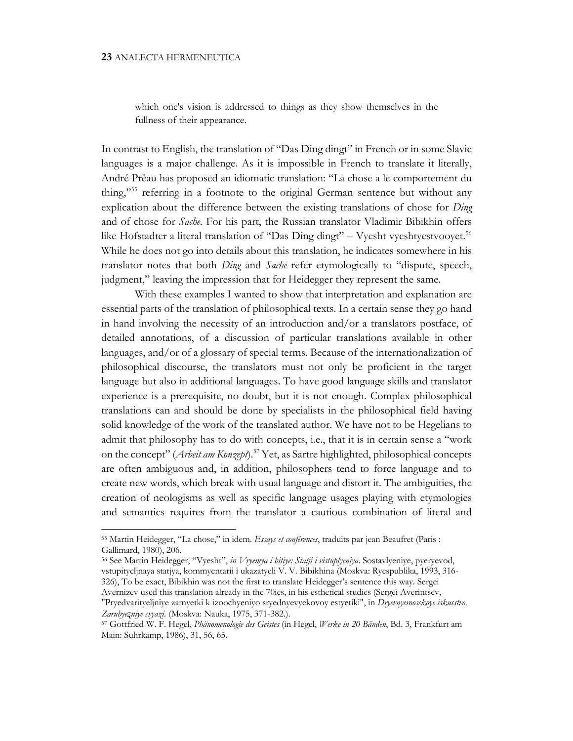## **23** ANALECTA HERMENEUTICA

which one's vision is addressed to things as they show themselves in the fullness of their appearance.

In contrast to English, the translation of "Das Ding dingt" in French or in some Slavic languages is a major challenge. As it is impossible in French to translate it literally, André Préau has proposed an idiomatic translation: "La chose a le comportement du thing,"55 referring in a footnote to the original German sentence but without any explication about the difference between the existing translations of chose for *Ding*  and of chose for *Sache*. For his part, the Russian translator Vladimir Bibikhin offers like Hofstadter a literal translation of "Das Ding dingt" – Vyesht vyeshtyestvooyet.<sup>56</sup> While he does not go into details about this translation, he indicates somewhere in his translator notes that both *Ding* and *Sache* refer etymologically to "dispute, speech, judgment," leaving the impression that for Heidegger they represent the same.

With these examples I wanted to show that interpretation and explanation are essential parts of the translation of philosophical texts. In a certain sense they go hand in hand involving the necessity of an introduction and/or a translators postface, of detailed annotations, of a discussion of particular translations available in other languages, and/or of a glossary of special terms. Because of the internationalization of philosophical discourse, the translators must not only be proficient in the target language but also in additional languages. To have good language skills and translator experience is a prerequisite, no doubt, but it is not enough. Complex philosophical translations can and should be done by specialists in the philosophical field having solid knowledge of the work of the translated author. We have not to be Hegelians to admit that philosophy has to do with concepts, i.e., that it is in certain sense a "work on the concept" (*Arbeit am Konzept*).57 Yet, as Sartre highlighted, philosophical concepts are often ambiguous and, in addition, philosophers tend to force language and to create new words, which break with usual language and distort it. The ambiguities, the creation of neologisms as well as specific language usages playing with etymologies and semantics requires from the translator a cautious combination of literal and

<sup>55</sup> Martin Heidegger, "La chose," in idem. *Essays et conférences*, traduits par jean Beaufret (Paris : Gallimard, 1980), 206.

<sup>56</sup> See Martin Heidegger, "Vyesht", *in Vryemya i bitiye: Statji i vistuplyeniya*. Sostavlyeniye, pyeryevod, vstupityeljnaya statjya, kommyentarii i ukazatyeli V. V. Bibikhina (Moskva: Ryespublika, 1993, 316- 326), To be exact, Bibikhin was not the first to translate Heidegger's sentence this way. Sergei Avernizev used this translation already in the 70ies, in his esthetical studies (Sergei Averintsev,

<sup>&</sup>quot;Pryedvarityeljniye zamyetki k izoochyeniyo sryednyevyekovoy estyetiki", in *Dryevnyeroosskoye iskusstvo. Zarubyeʐniye svyazi*. (Мoskva: Nauka, 1975, 371-382.).

<sup>57</sup> Gottfried W. F. Hegel, *Phänomenologie des Geistes* (in Hegel, *Werke in 20 Bänden*, Bd. 3, Frankfurt am Main: Suhrkamp, 1986), 31, 56, 65.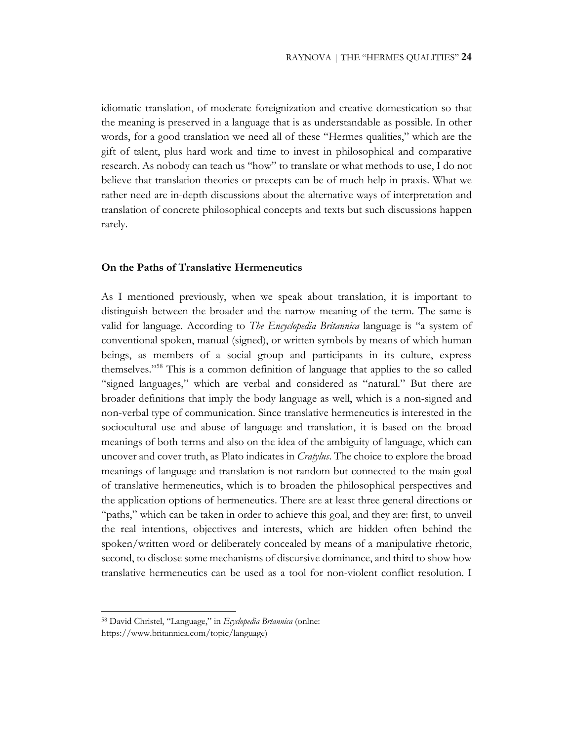idiomatic translation, of moderate foreignization and creative domestication so that the meaning is preserved in a language that is as understandable as possible. In other words, for a good translation we need all of these "Hermes qualities," which are the gift of talent, plus hard work and time to invest in philosophical and comparative research. As nobody can teach us "how" to translate or what methods to use, I do not believe that translation theories or precepts can be of much help in praxis. What we rather need are in-depth discussions about the alternative ways of interpretation and translation of concrete philosophical concepts and texts but such discussions happen rarely.

## **On the Paths of Translative Hermeneutics**

As I mentioned previously, when we speak about translation, it is important to distinguish between the broader and the narrow meaning of the term. The same is valid for language. According to *The Encyclopedia Britannica* language is "a system of conventional spoken, manual (signed), or written symbols by means of which human beings, as members of a social group and participants in its culture, express themselves."58 This is a common definition of language that applies to the so called "signed languages," which are verbal and considered as "natural." But there are broader definitions that imply the body language as well, which is a non-signed and non-verbal type of communication. Since translative hermeneutics is interested in the sociocultural use and abuse of language and translation, it is based on the broad meanings of both terms and also on the idea of the ambiguity of language, which can uncover and cover truth, as Plato indicates in *Cratylus*. The choice to explore the broad meanings of language and translation is not random but connected to the main goal of translative hermeneutics, which is to broaden the philosophical perspectives and the application options of hermeneutics. There are at least three general directions or "paths," which can be taken in order to achieve this goal, and they are: first, to unveil the real intentions, objectives and interests, which are hidden often behind the spoken/written word or deliberately concealed by means of a manipulative rhetoric, second, to disclose some mechanisms of discursive dominance, and third to show how translative hermeneutics can be used as a tool for non-violent conflict resolution. I

<sup>58</sup> David Christel, "Language," in *Ecyclopedia Brtannica* (onlne:

https://www.britannica.com/topic/language)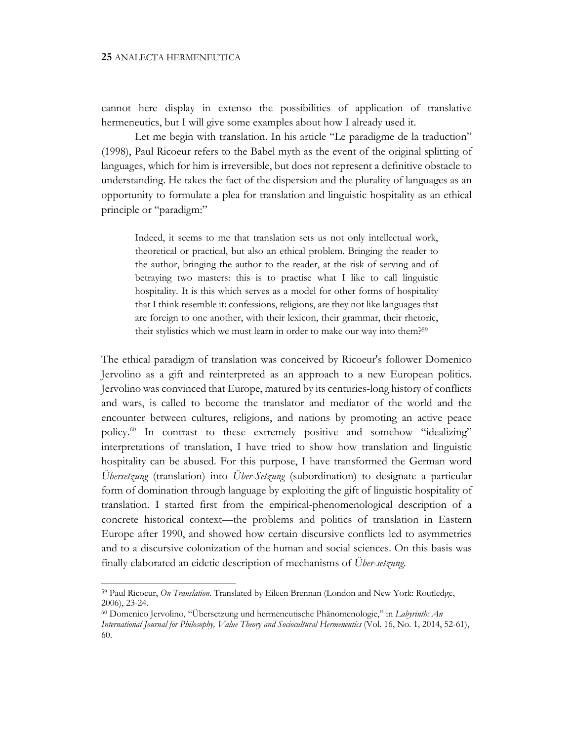cannot here display in extenso the possibilities of application of translative hermeneutics, but I will give some examples about how I already used it.

Let me begin with translation. In his article "Le paradigme de la traduction" (1998), Paul Ricoeur refers to the Babel myth as the event of the original splitting of languages, which for him is irreversible, but does not represent a definitive obstacle to understanding. He takes the fact of the dispersion and the plurality of languages as an opportunity to formulate a plea for translation and linguistic hospitality as an ethical principle or "paradigm:"

Indeed, it seems to me that translation sets us not only intellectual work, theoretical or practical, but also an ethical problem. Bringing the reader to the author, bringing the author to the reader, at the risk of serving and of betraying two masters: this is to practise what I like to call linguistic hospitality. It is this which serves as a model for other forms of hospitality that I think resemble it: confessions, religions, are they not like languages that are foreign to one another, with their lexicon, their grammar, their rhetoric, their stylistics which we must learn in order to make our way into them?59

The ethical paradigm of translation was conceived by Ricoeur's follower Domenico Jervolino as a gift and reinterpreted as an approach to a new European politics. Jervolino was convinced that Europe, matured by its centuries-long history of conflicts and wars, is called to become the translator and mediator of the world and the encounter between cultures, religions, and nations by promoting an active peace policy.60 In contrast to these extremely positive and somehow "idealizing" interpretations of translation, I have tried to show how translation and linguistic hospitality can be abused. For this purpose, I have transformed the German word *Übersetzung* (translation) into *Über-Setzung* (subordination) to designate a particular form of domination through language by exploiting the gift of linguistic hospitality of translation. I started first from the empirical-phenomenological description of a concrete historical context—the problems and politics of translation in Eastern Europe after 1990, and showed how certain discursive conflicts led to asymmetries and to a discursive colonization of the human and social sciences. On this basis was finally elaborated an eidetic description of mechanisms of *Über-setzung*.

<sup>59</sup> Paul Ricoeur, *On Translation*. Translated by Eileen Brennan (London and New York: Routledge, 2006), 23-24.

<sup>60</sup> Domenico Jervolino, "Übersetzung und hermeneutische Phänomenologie," in *Labyrinth: An International Journal for Philosophy, Value Theory and Sociocultural Hermeneutics* (Vol. 16, No. 1, 2014, 52-61), 60.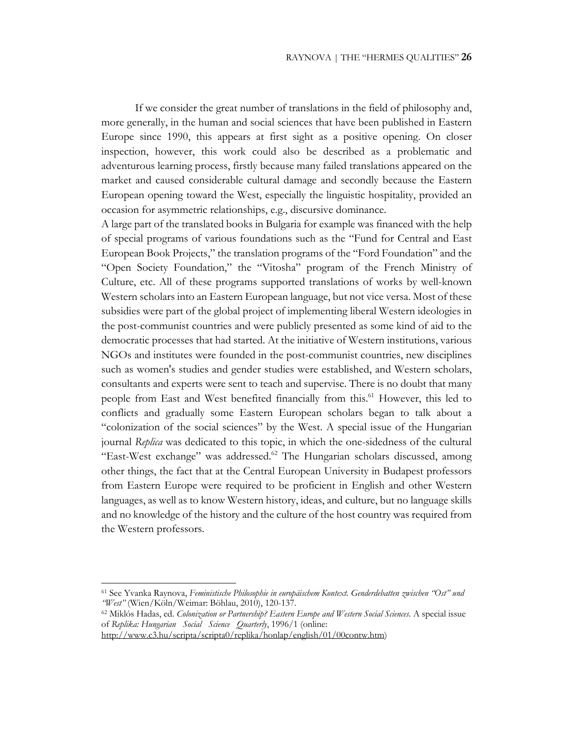If we consider the great number of translations in the field of philosophy and, more generally, in the human and social sciences that have been published in Eastern Europe since 1990, this appears at first sight as a positive opening. On closer inspection, however, this work could also be described as a problematic and adventurous learning process, firstly because many failed translations appeared on the market and caused considerable cultural damage and secondly because the Eastern European opening toward the West, especially the linguistic hospitality, provided an occasion for asymmetric relationships, e.g., discursive dominance.

A large part of the translated books in Bulgaria for example was financed with the help of special programs of various foundations such as the "Fund for Central and East European Book Projects," the translation programs of the "Ford Foundation" and the "Open Society Foundation," the "Vitosha" program of the French Ministry of Culture, etc. All of these programs supported translations of works by well-known Western scholars into an Eastern European language, but not vice versa. Most of these subsidies were part of the global project of implementing liberal Western ideologies in the post-communist countries and were publicly presented as some kind of aid to the democratic processes that had started. At the initiative of Western institutions, various NGOs and institutes were founded in the post-communist countries, new disciplines such as women's studies and gender studies were established, and Western scholars, consultants and experts were sent to teach and supervise. There is no doubt that many people from East and West benefited financially from this.<sup>61</sup> However, this led to conflicts and gradually some Eastern European scholars began to talk about a "colonization of the social sciences" by the West. A special issue of the Hungarian journal *Replica* was dedicated to this topic, in which the one-sidedness of the cultural "East-West exchange" was addressed.<sup>62</sup> The Hungarian scholars discussed, among other things, the fact that at the Central European University in Budapest professors from Eastern Europe were required to be proficient in English and other Western languages, as well as to know Western history, ideas, and culture, but no language skills and no knowledge of the history and the culture of the host country was required from the Western professors.

<sup>61</sup> See Yvanka Raynova, *Feministische Philosophie in europäischem Kontext. Genderdebatten zwischen "Ost" und "West"* (Wien/Köln/Weimar: Böhlau, 2010), 120-137.

<sup>62</sup> Miklós Hadas, ed. *Colonization or Partnership? Eastern Europe and Western Social Sciences*. A special issue of *Replika: Hungarian Social Science Quarterly*, 1996/1 (online:

http://www.c3.hu/scripta/scripta0/replika/honlap/english/01/00contw.htm)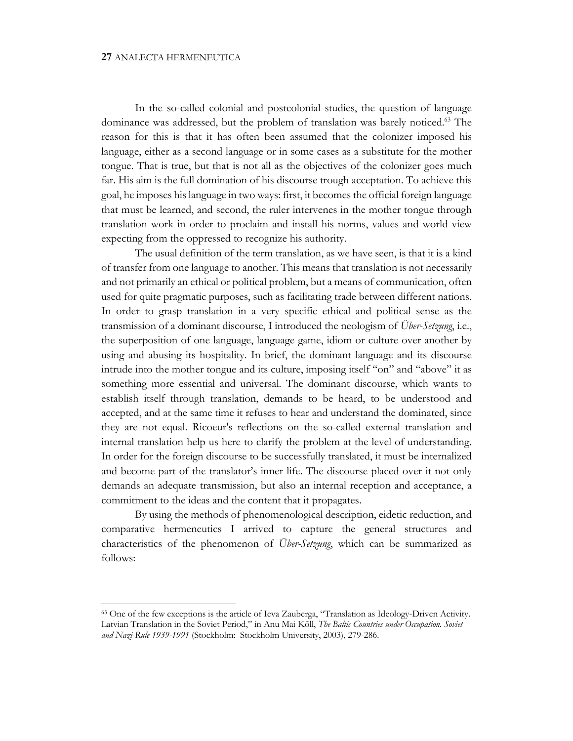In the so-called colonial and postcolonial studies, the question of language dominance was addressed, but the problem of translation was barely noticed.<sup>63</sup> The reason for this is that it has often been assumed that the colonizer imposed his language, either as a second language or in some cases as a substitute for the mother tongue. That is true, but that is not all as the objectives of the colonizer goes much far. His aim is the full domination of his discourse trough acceptation. To achieve this goal, he imposes his language in two ways: first, it becomes the official foreign language that must be learned, and second, the ruler intervenes in the mother tongue through translation work in order to proclaim and install his norms, values and world view expecting from the oppressed to recognize his authority.

The usual definition of the term translation, as we have seen, is that it is a kind of transfer from one language to another. This means that translation is not necessarily and not primarily an ethical or political problem, but a means of communication, often used for quite pragmatic purposes, such as facilitating trade between different nations. In order to grasp translation in a very specific ethical and political sense as the transmission of a dominant discourse, I introduced the neologism of *Über-Setzung*, i.e., the superposition of one language, language game, idiom or culture over another by using and abusing its hospitality. In brief, the dominant language and its discourse intrude into the mother tongue and its culture, imposing itself "on" and "above" it as something more essential and universal. The dominant discourse, which wants to establish itself through translation, demands to be heard, to be understood and accepted, and at the same time it refuses to hear and understand the dominated, since they are not equal. Ricoeur's reflections on the so-called external translation and internal translation help us here to clarify the problem at the level of understanding. In order for the foreign discourse to be successfully translated, it must be internalized and become part of the translator's inner life. The discourse placed over it not only demands an adequate transmission, but also an internal reception and acceptance, a commitment to the ideas and the content that it propagates.

By using the methods of phenomenological description, eidetic reduction, and comparative hermeneutics I arrived to capture the general structures and characteristics of the phenomenon of *Über-Setzung*, which can be summarized as follows:

<sup>63</sup> One of the few exceptions is the article of Ieva Zauberga, "Translation as Ideology-Driven Activity. Latvian Translation in the Soviet Period," in Anu Mai Kõll, *The Baltic Countries under Occupation. Soviet and Nazi Rule 1939-1991* (Stockholm: Stockholm University, 2003), 279-286.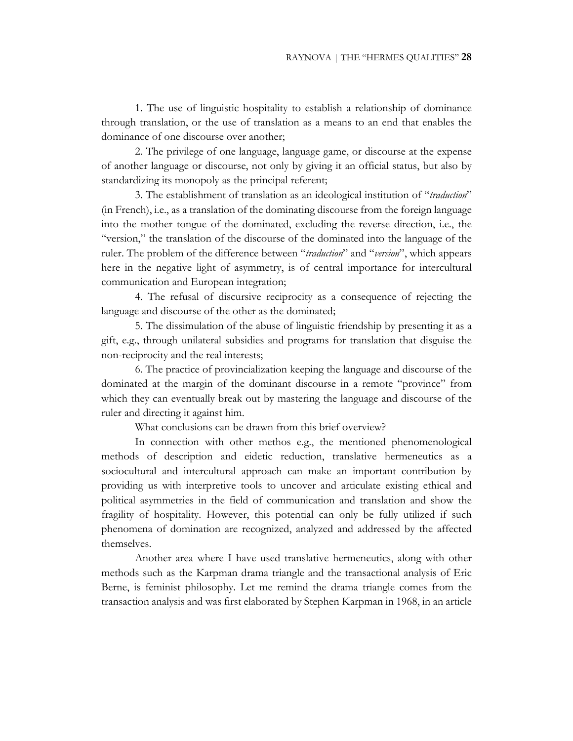1. The use of linguistic hospitality to establish a relationship of dominance through translation, or the use of translation as a means to an end that enables the dominance of one discourse over another;

2. The privilege of one language, language game, or discourse at the expense of another language or discourse, not only by giving it an official status, but also by standardizing its monopoly as the principal referent;

3. The establishment of translation as an ideological institution of "*traduction*" (in French), i.e., as a translation of the dominating discourse from the foreign language into the mother tongue of the dominated, excluding the reverse direction, i.e., the "version," the translation of the discourse of the dominated into the language of the ruler. The problem of the difference between "*traduction*" and "*version*", which appears here in the negative light of asymmetry, is of central importance for intercultural communication and European integration;

4. The refusal of discursive reciprocity as a consequence of rejecting the language and discourse of the other as the dominated;

5. The dissimulation of the abuse of linguistic friendship by presenting it as a gift, e.g., through unilateral subsidies and programs for translation that disguise the non-reciprocity and the real interests;

6. The practice of provincialization keeping the language and discourse of the dominated at the margin of the dominant discourse in a remote "province" from which they can eventually break out by mastering the language and discourse of the ruler and directing it against him.

What conclusions can be drawn from this brief overview?

In connection with other methos e.g., the mentioned phenomenological methods of description and eidetic reduction, translative hermeneutics as a sociocultural and intercultural approach can make an important contribution by providing us with interpretive tools to uncover and articulate existing ethical and political asymmetries in the field of communication and translation and show the fragility of hospitality. However, this potential can only be fully utilized if such phenomena of domination are recognized, analyzed and addressed by the affected themselves.

Another area where I have used translative hermeneutics, along with other methods such as the Karpman drama triangle and the transactional analysis of Eric Berne, is feminist philosophy. Let me remind the drama triangle comes from the transaction analysis and was first elaborated by Stephen Karpman in 1968, in an article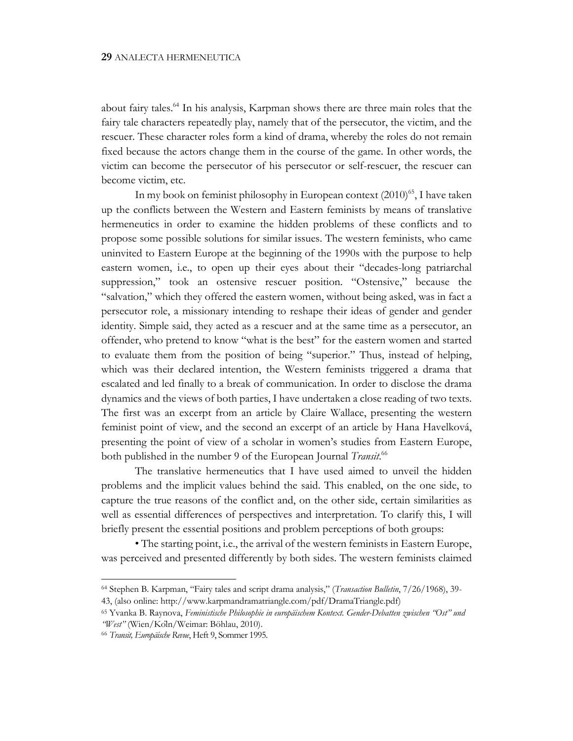about fairy tales.64 In his analysis, Karpman shows there are three main roles that the fairy tale characters repeatedly play, namely that of the persecutor, the victim, and the rescuer. These character roles form a kind of drama, whereby the roles do not remain fixed because the actors change them in the course of the game. In other words, the victim can become the persecutor of his persecutor or self-rescuer, the rescuer can become victim, etc.

In my book on feminist philosophy in European context  $(2010)^{65}$ , I have taken up the conflicts between the Western and Eastern feminists by means of translative hermeneutics in order to examine the hidden problems of these conflicts and to propose some possible solutions for similar issues. The western feminists, who came uninvited to Eastern Europe at the beginning of the 1990s with the purpose to help eastern women, i.e., to open up their eyes about their "decades-long patriarchal suppression," took an ostensive rescuer position. "Ostensive," because the "salvation," which they offered the eastern women, without being asked, was in fact a persecutor role, a missionary intending to reshape their ideas of gender and gender identity. Simple said, they acted as a rescuer and at the same time as a persecutor, an offender, who pretend to know "what is the best" for the eastern women and started to evaluate them from the position of being "superior." Thus, instead of helping, which was their declared intention, the Western feminists triggered a drama that escalated and led finally to a break of communication. In order to disclose the drama dynamics and the views of both parties, I have undertaken a close reading of two texts. The first was an excerpt from an article by Claire Wallace, presenting the western feminist point of view, and the second an excerpt of an article by Hana Havelková, presenting the point of view of a scholar in women's studies from Eastern Europe, both published in the number 9 of the European Journal *Transit*. 66

The translative hermeneutics that I have used aimed to unveil the hidden problems and the implicit values behind the said. This enabled, on the one side, to capture the true reasons of the conflict and, on the other side, certain similarities as well as essential differences of perspectives and interpretation. To clarify this, I will briefly present the essential positions and problem perceptions of both groups:

• The starting point, i.e., the arrival of the western feminists in Eastern Europe, was perceived and presented differently by both sides. The western feminists claimed

<sup>64</sup> Stephen B. Karpman, "Fairy tales and script drama analysis," (*Transaction Bulletin*, 7/26/1968), 39- 43, (also online: http://www.karpmandramatriangle.com/pdf/DramaTriangle.pdf)

<sup>65</sup> Yvanka B. Raynova, *Feministische Philosophie in europäischem Kontext. Gender-Debatten zwischen "Ost" und "West"* (Wien/Köln/Weimar: Böhlau, 2010).

<sup>66</sup> *Transit, Europäische Revue*, Heft 9, Sommer 1995.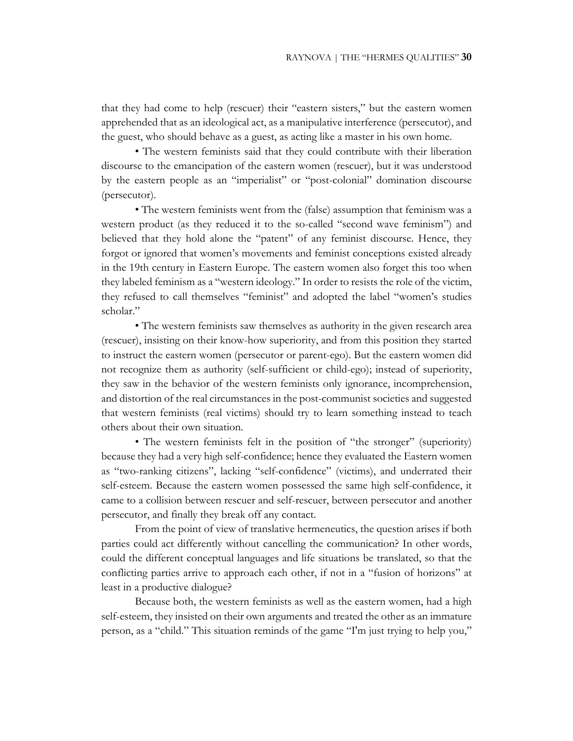that they had come to help (rescuer) their "eastern sisters," but the eastern women apprehended that as an ideological act, as a manipulative interference (persecutor), and the guest, who should behave as a guest, as acting like a master in his own home.

• The western feminists said that they could contribute with their liberation discourse to the emancipation of the eastern women (rescuer), but it was understood by the eastern people as an "imperialist" or "post-colonial" domination discourse (persecutor).

• The western feminists went from the (false) assumption that feminism was a western product (as they reduced it to the so-called "second wave feminism") and believed that they hold alone the "patent" of any feminist discourse. Hence, they forgot or ignored that women's movements and feminist conceptions existed already in the 19th century in Eastern Europe. The eastern women also forget this too when they labeled feminism as a "western ideology." In order to resists the role of the victim, they refused to call themselves "feminist" and adopted the label "women's studies scholar."

• The western feminists saw themselves as authority in the given research area (rescuer), insisting on their know-how superiority, and from this position they started to instruct the eastern women (persecutor or parent-ego). But the eastern women did not recognize them as authority (self-sufficient or child-ego); instead of superiority, they saw in the behavior of the western feminists only ignorance, incomprehension, and distortion of the real circumstances in the post-communist societies and suggested that western feminists (real victims) should try to learn something instead to teach others about their own situation.

• The western feminists felt in the position of "the stronger" (superiority) because they had a very high self-confidence; hence they evaluated the Eastern women as "two-ranking citizens", lacking "self-confidence" (victims), and underrated their self-esteem. Because the eastern women possessed the same high self-confidence, it came to a collision between rescuer and self-rescuer, between persecutor and another persecutor, and finally they break off any contact.

From the point of view of translative hermeneutics, the question arises if both parties could act differently without cancelling the communication? In other words, could the different conceptual languages and life situations be translated, so that the conflicting parties arrive to approach each other, if not in a "fusion of horizons" at least in a productive dialogue?

Because both, the western feminists as well as the eastern women, had a high self-esteem, they insisted on their own arguments and treated the other as an immature person, as a "child." This situation reminds of the game "I'm just trying to help you,"